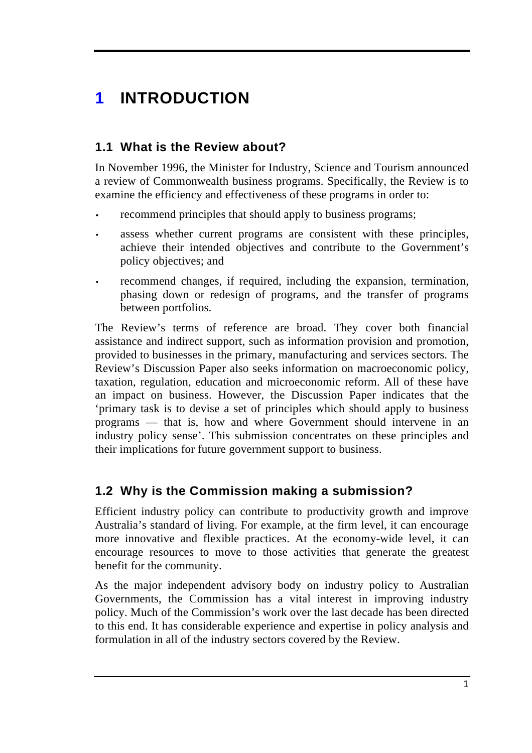# **1 INTRODUCTION**

## **1.1 What is the Review about?**

In November 1996, the Minister for Industry, Science and Tourism announced a review of Commonwealth business programs. Specifically, the Review is to examine the efficiency and effectiveness of these programs in order to:

- recommend principles that should apply to business programs;
- assess whether current programs are consistent with these principles, achieve their intended objectives and contribute to the Government's policy objectives; and
- recommend changes, if required, including the expansion, termination, phasing down or redesign of programs, and the transfer of programs between portfolios.

The Review's terms of reference are broad. They cover both financial assistance and indirect support, such as information provision and promotion, provided to businesses in the primary, manufacturing and services sectors. The Review's Discussion Paper also seeks information on macroeconomic policy, taxation, regulation, education and microeconomic reform. All of these have an impact on business. However, the Discussion Paper indicates that the 'primary task is to devise a set of principles which should apply to business programs — that is, how and where Government should intervene in an industry policy sense'. This submission concentrates on these principles and their implications for future government support to business.

## **1.2 Why is the Commission making a submission?**

Efficient industry policy can contribute to productivity growth and improve Australia's standard of living. For example, at the firm level, it can encourage more innovative and flexible practices. At the economy-wide level, it can encourage resources to move to those activities that generate the greatest benefit for the community.

As the major independent advisory body on industry policy to Australian Governments, the Commission has a vital interest in improving industry policy. Much of the Commission's work over the last decade has been directed to this end. It has considerable experience and expertise in policy analysis and formulation in all of the industry sectors covered by the Review.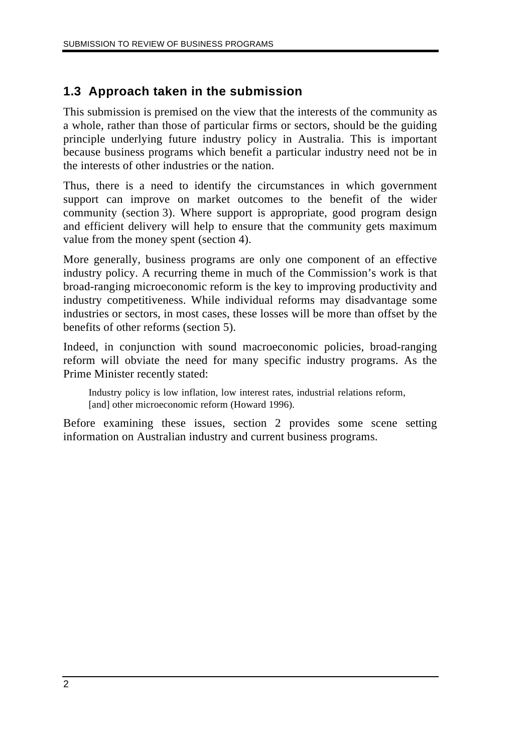## **1.3 Approach taken in the submission**

This submission is premised on the view that the interests of the community as a whole, rather than those of particular firms or sectors, should be the guiding principle underlying future industry policy in Australia. This is important because business programs which benefit a particular industry need not be in the interests of other industries or the nation.

Thus, there is a need to identify the circumstances in which government support can improve on market outcomes to the benefit of the wider community (section 3). Where support is appropriate, good program design and efficient delivery will help to ensure that the community gets maximum value from the money spent (section 4).

More generally, business programs are only one component of an effective industry policy. A recurring theme in much of the Commission's work is that broad-ranging microeconomic reform is the key to improving productivity and industry competitiveness. While individual reforms may disadvantage some industries or sectors, in most cases, these losses will be more than offset by the benefits of other reforms (section 5).

Indeed, in conjunction with sound macroeconomic policies, broad-ranging reform will obviate the need for many specific industry programs. As the Prime Minister recently stated:

Industry policy is low inflation, low interest rates, industrial relations reform, [and] other microeconomic reform (Howard 1996).

Before examining these issues, section 2 provides some scene setting information on Australian industry and current business programs.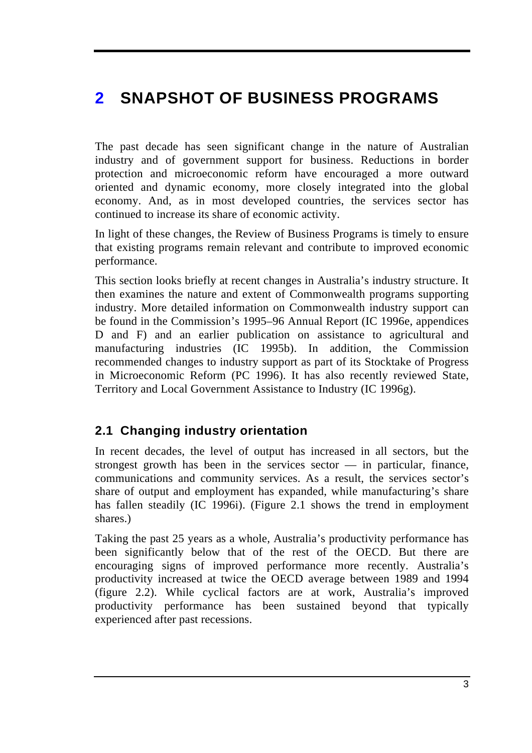## **2 SNAPSHOT OF BUSINESS PROGRAMS**

The past decade has seen significant change in the nature of Australian industry and of government support for business. Reductions in border protection and microeconomic reform have encouraged a more outward oriented and dynamic economy, more closely integrated into the global economy. And, as in most developed countries, the services sector has continued to increase its share of economic activity.

In light of these changes, the Review of Business Programs is timely to ensure that existing programs remain relevant and contribute to improved economic performance.

This section looks briefly at recent changes in Australia's industry structure. It then examines the nature and extent of Commonwealth programs supporting industry. More detailed information on Commonwealth industry support can be found in the Commission's 1995–96 Annual Report (IC 1996e, appendices D and F) and an earlier publication on assistance to agricultural and manufacturing industries (IC 1995b). In addition, the Commission recommended changes to industry support as part of its Stocktake of Progress in Microeconomic Reform (PC 1996). It has also recently reviewed State, Territory and Local Government Assistance to Industry (IC 1996g).

## **2.1 Changing industry orientation**

In recent decades, the level of output has increased in all sectors, but the strongest growth has been in the services sector — in particular, finance, communications and community services. As a result, the services sector's share of output and employment has expanded, while manufacturing's share has fallen steadily (IC 1996i). (Figure 2.1 shows the trend in employment shares.)

Taking the past 25 years as a whole, Australia's productivity performance has been significantly below that of the rest of the OECD. But there are encouraging signs of improved performance more recently. Australia's productivity increased at twice the OECD average between 1989 and 1994 (figure 2.2). While cyclical factors are at work, Australia's improved productivity performance has been sustained beyond that typically experienced after past recessions.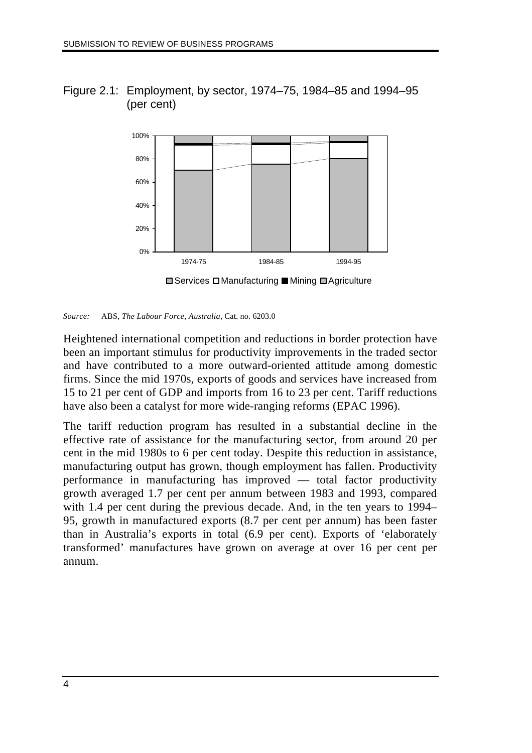



**□ Services □ Manufacturing ■ Mining □ Agriculture** 

Heightened international competition and reductions in border protection have been an important stimulus for productivity improvements in the traded sector and have contributed to a more outward-oriented attitude among domestic firms. Since the mid 1970s, exports of goods and services have increased from 15 to 21 per cent of GDP and imports from 16 to 23 per cent. Tariff reductions have also been a catalyst for more wide-ranging reforms (EPAC 1996).

The tariff reduction program has resulted in a substantial decline in the effective rate of assistance for the manufacturing sector, from around 20 per cent in the mid 1980s to 6 per cent today. Despite this reduction in assistance, manufacturing output has grown, though employment has fallen. Productivity performance in manufacturing has improved — total factor productivity growth averaged 1.7 per cent per annum between 1983 and 1993, compared with 1.4 per cent during the previous decade. And, in the ten years to 1994– 95, growth in manufactured exports (8.7 per cent per annum) has been faster than in Australia's exports in total (6.9 per cent). Exports of 'elaborately transformed' manufactures have grown on average at over 16 per cent per annum.

*Source:* ABS, *The Labour Force, Australia*, Cat. no. 6203.0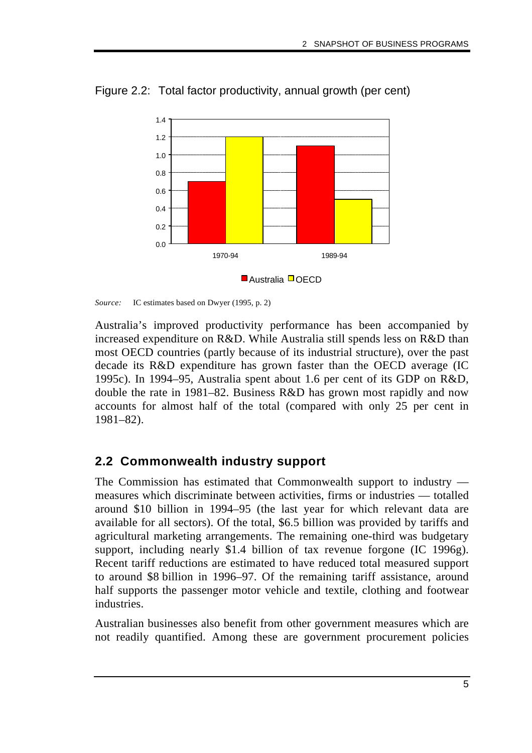

Figure 2.2: Total factor productivity, annual growth (per cent)

*Source:* IC estimates based on Dwyer (1995, p. 2)

Australia's improved productivity performance has been accompanied by increased expenditure on R&D. While Australia still spends less on R&D than most OECD countries (partly because of its industrial structure), over the past decade its R&D expenditure has grown faster than the OECD average (IC 1995c). In 1994–95, Australia spent about 1.6 per cent of its GDP on R&D, double the rate in 1981–82. Business R&D has grown most rapidly and now accounts for almost half of the total (compared with only 25 per cent in 1981–82).

## **2.2 Commonwealth industry support**

The Commission has estimated that Commonwealth support to industry measures which discriminate between activities, firms or industries — totalled around \$10 billion in 1994–95 (the last year for which relevant data are available for all sectors). Of the total, \$6.5 billion was provided by tariffs and agricultural marketing arrangements. The remaining one-third was budgetary support, including nearly \$1.4 billion of tax revenue forgone (IC 1996g). Recent tariff reductions are estimated to have reduced total measured support to around \$8 billion in 1996–97. Of the remaining tariff assistance, around half supports the passenger motor vehicle and textile, clothing and footwear industries.

Australian businesses also benefit from other government measures which are not readily quantified. Among these are government procurement policies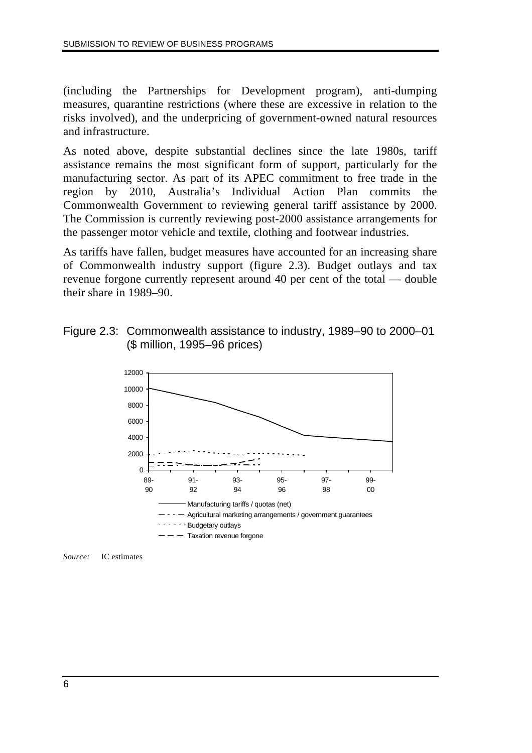(including the Partnerships for Development program), anti-dumping measures, quarantine restrictions (where these are excessive in relation to the risks involved), and the underpricing of government-owned natural resources and infrastructure.

As noted above, despite substantial declines since the late 1980s, tariff assistance remains the most significant form of support, particularly for the manufacturing sector. As part of its APEC commitment to free trade in the region by 2010, Australia's Individual Action Plan commits the Commonwealth Government to reviewing general tariff assistance by 2000. The Commission is currently reviewing post-2000 assistance arrangements for the passenger motor vehicle and textile, clothing and footwear industries.

As tariffs have fallen, budget measures have accounted for an increasing share of Commonwealth industry support (figure 2.3). Budget outlays and tax revenue forgone currently represent around 40 per cent of the total — double their share in 1989–90.

Figure 2.3: Commonwealth assistance to industry, 1989–90 to 2000–01 (\$ million, 1995–96 prices)



*Source:* IC estimates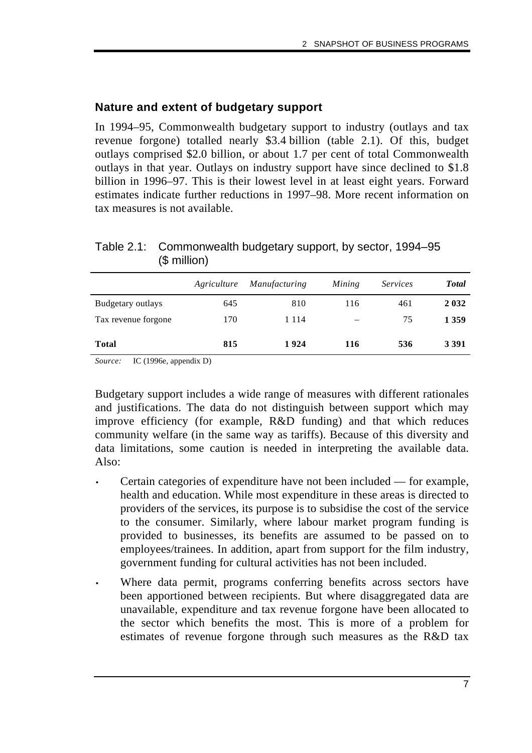#### **Nature and extent of budgetary support**

In 1994–95, Commonwealth budgetary support to industry (outlays and tax revenue forgone) totalled nearly \$3.4 billion (table 2.1). Of this, budget outlays comprised \$2.0 billion, or about 1.7 per cent of total Commonwealth outlays in that year. Outlays on industry support have since declined to \$1.8 billion in 1996–97. This is their lowest level in at least eight years. Forward estimates indicate further reductions in 1997–98. More recent information on tax measures is not available.

Table 2.1: Commonwealth budgetary support, by sector, 1994–95 (\$ million)

|                     | Agriculture | <i>Manufacturing</i> | Mining | <i>Services</i> | <b>Total</b> |
|---------------------|-------------|----------------------|--------|-----------------|--------------|
| Budgetary outlays   | 645         | 810                  | 116    | 461             | 2 0 3 2      |
| Tax revenue forgone | 170         | 1 1 1 4              | -      | 75              | 1 3 5 9      |
| <b>Total</b>        | 815         | 1924                 | 116    | 536             | 3 3 9 1      |

*Source:* IC (1996e, appendix D)

Budgetary support includes a wide range of measures with different rationales and justifications. The data do not distinguish between support which may improve efficiency (for example, R&D funding) and that which reduces community welfare (in the same way as tariffs). Because of this diversity and data limitations, some caution is needed in interpreting the available data. Also:

- Certain categories of expenditure have not been included for example, health and education. While most expenditure in these areas is directed to providers of the services, its purpose is to subsidise the cost of the service to the consumer. Similarly, where labour market program funding is provided to businesses, its benefits are assumed to be passed on to employees/trainees. In addition, apart from support for the film industry, government funding for cultural activities has not been included.
- Where data permit, programs conferring benefits across sectors have been apportioned between recipients. But where disaggregated data are unavailable, expenditure and tax revenue forgone have been allocated to the sector which benefits the most. This is more of a problem for estimates of revenue forgone through such measures as the R&D tax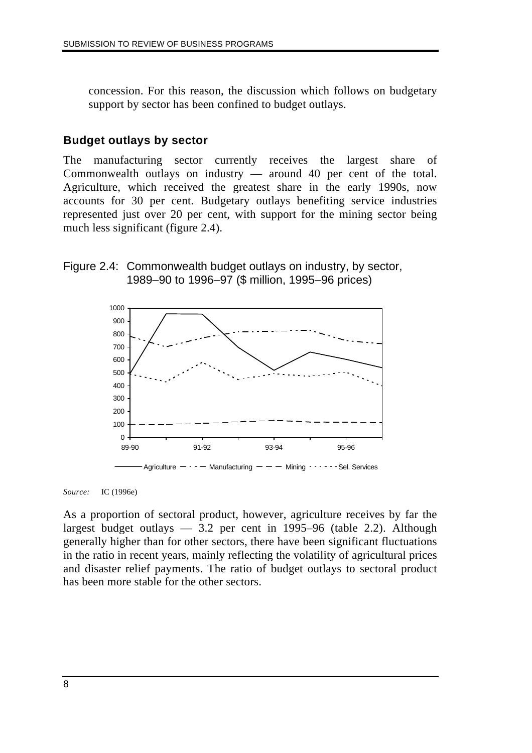concession. For this reason, the discussion which follows on budgetary support by sector has been confined to budget outlays.

#### **Budget outlays by sector**

The manufacturing sector currently receives the largest share of Commonwealth outlays on industry — around 40 per cent of the total. Agriculture, which received the greatest share in the early 1990s, now accounts for 30 per cent. Budgetary outlays benefiting service industries represented just over 20 per cent, with support for the mining sector being much less significant (figure 2.4).

#### Figure 2.4: Commonwealth budget outlays on industry, by sector, 1989–90 to 1996–97 (\$ million, 1995–96 prices)



*Source:* IC (1996e)

As a proportion of sectoral product, however, agriculture receives by far the largest budget outlays  $-3.2$  per cent in 1995–96 (table 2.2). Although generally higher than for other sectors, there have been significant fluctuations in the ratio in recent years, mainly reflecting the volatility of agricultural prices and disaster relief payments. The ratio of budget outlays to sectoral product has been more stable for the other sectors.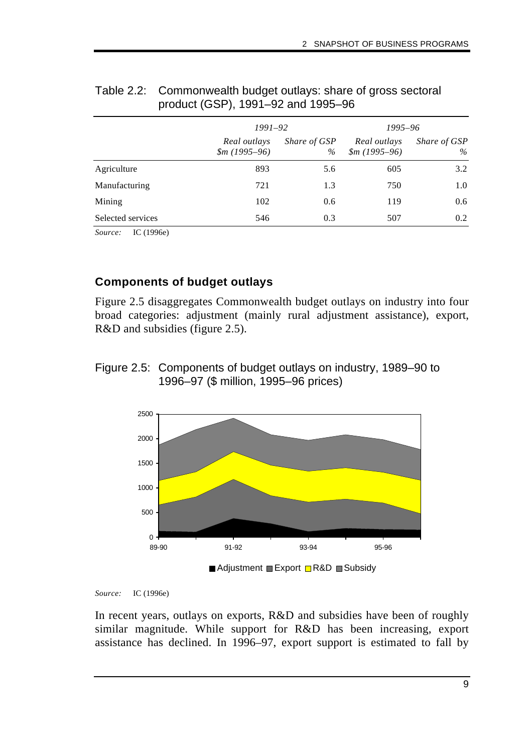|                   | $1991 - 92$                       |                      | $1995 - 96$                       |                      |  |
|-------------------|-----------------------------------|----------------------|-----------------------------------|----------------------|--|
|                   | Real outlays<br>$\Im m$ (1995–96) | Share of GSP<br>$\%$ | Real outlays<br>$\Im m$ (1995–96) | Share of GSP<br>$\%$ |  |
| Agriculture       | 893                               | 5.6                  | 605                               | 3.2                  |  |
| Manufacturing     | 721                               | 1.3                  | 750                               | 1.0                  |  |
| Mining            | 102                               | 0.6                  | 119                               | 0.6                  |  |
| Selected services | 546                               | 0.3                  | 507                               | 0.2                  |  |

#### Table 2.2: Commonwealth budget outlays: share of gross sectoral product (GSP), 1991–92 and 1995–96

*Source:* IC (1996e)

## **Components of budget outlays**

Figure 2.5 disaggregates Commonwealth budget outlays on industry into four broad categories: adjustment (mainly rural adjustment assistance), export, R&D and subsidies (figure 2.5).

## Figure 2.5: Components of budget outlays on industry, 1989–90 to 1996–97 (\$ million, 1995–96 prices)



*Source:* IC (1996e)

In recent years, outlays on exports, R&D and subsidies have been of roughly similar magnitude. While support for R&D has been increasing, export assistance has declined. In 1996–97, export support is estimated to fall by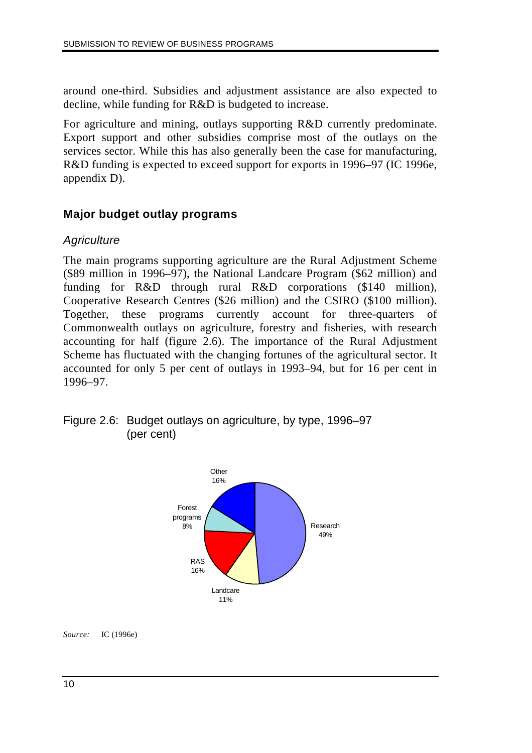around one-third. Subsidies and adjustment assistance are also expected to decline, while funding for R&D is budgeted to increase.

For agriculture and mining, outlays supporting R&D currently predominate. Export support and other subsidies comprise most of the outlays on the services sector. While this has also generally been the case for manufacturing, R&D funding is expected to exceed support for exports in 1996–97 (IC 1996e, appendix D).

#### **Major budget outlay programs**

#### *Agriculture*

The main programs supporting agriculture are the Rural Adjustment Scheme (\$89 million in 1996–97), the National Landcare Program (\$62 million) and funding for R&D through rural R&D corporations (\$140 million), Cooperative Research Centres (\$26 million) and the CSIRO (\$100 million). Together, these programs currently account for three-quarters of Commonwealth outlays on agriculture, forestry and fisheries, with research accounting for half (figure 2.6). The importance of the Rural Adjustment Scheme has fluctuated with the changing fortunes of the agricultural sector. It accounted for only 5 per cent of outlays in 1993–94, but for 16 per cent in 1996–97.

#### Figure 2.6: Budget outlays on agriculture, by type, 1996–97 (per cent)



*Source:* IC (1996e)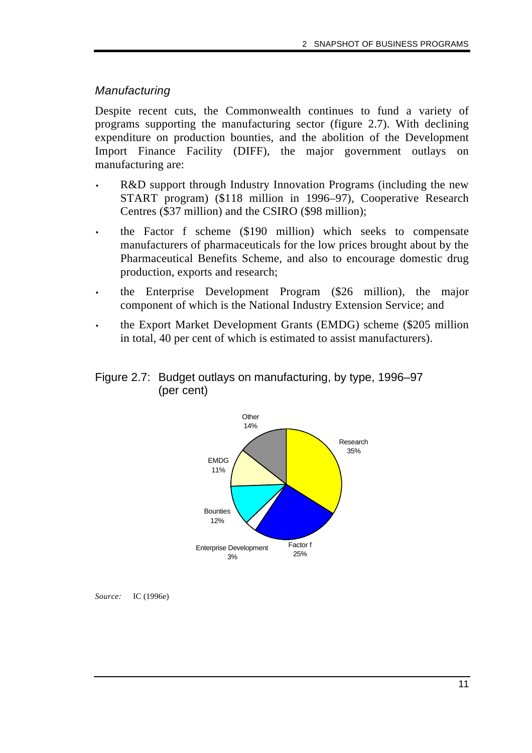#### *Manufacturing*

Despite recent cuts, the Commonwealth continues to fund a variety of programs supporting the manufacturing sector (figure 2.7). With declining expenditure on production bounties, and the abolition of the Development Import Finance Facility (DIFF), the major government outlays on manufacturing are:

- R&D support through Industry Innovation Programs (including the new START program) (\$118 million in 1996–97), Cooperative Research Centres (\$37 million) and the CSIRO (\$98 million);
- the Factor f scheme (\$190 million) which seeks to compensate manufacturers of pharmaceuticals for the low prices brought about by the Pharmaceutical Benefits Scheme, and also to encourage domestic drug production, exports and research;
- the Enterprise Development Program (\$26 million), the major component of which is the National Industry Extension Service; and
- the Export Market Development Grants (EMDG) scheme (\$205 million in total, 40 per cent of which is estimated to assist manufacturers).

#### Figure 2.7: Budget outlays on manufacturing, by type, 1996–97 (per cent)



*Source:* IC (1996e)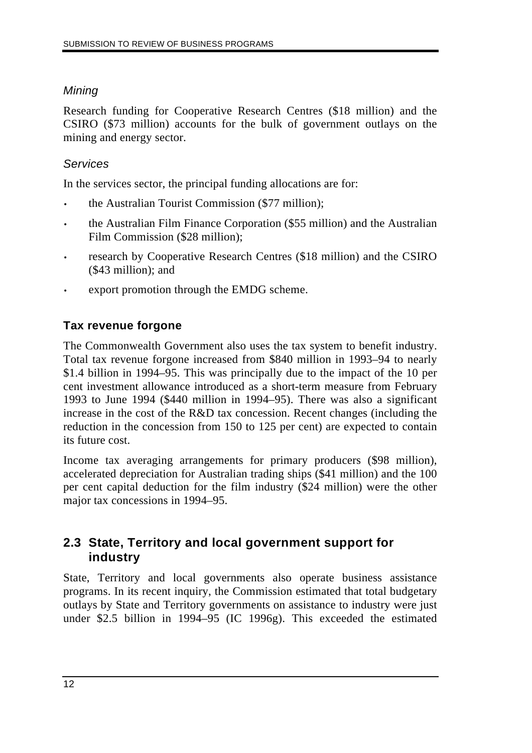## *Mining*

Research funding for Cooperative Research Centres (\$18 million) and the CSIRO (\$73 million) accounts for the bulk of government outlays on the mining and energy sector.

## *Services*

In the services sector, the principal funding allocations are for:

- the Australian Tourist Commission (\$77 million);
- the Australian Film Finance Corporation (\$55 million) and the Australian Film Commission (\$28 million);
- research by Cooperative Research Centres (\$18 million) and the CSIRO (\$43 million); and
- export promotion through the EMDG scheme.

## **Tax revenue forgone**

The Commonwealth Government also uses the tax system to benefit industry. Total tax revenue forgone increased from \$840 million in 1993–94 to nearly \$1.4 billion in 1994–95. This was principally due to the impact of the 10 per cent investment allowance introduced as a short-term measure from February 1993 to June 1994 (\$440 million in 1994–95). There was also a significant increase in the cost of the R&D tax concession. Recent changes (including the reduction in the concession from 150 to 125 per cent) are expected to contain its future cost.

Income tax averaging arrangements for primary producers (\$98 million), accelerated depreciation for Australian trading ships (\$41 million) and the 100 per cent capital deduction for the film industry (\$24 million) were the other major tax concessions in 1994–95.

## **2.3 State, Territory and local government support for industry**

State, Territory and local governments also operate business assistance programs. In its recent inquiry, the Commission estimated that total budgetary outlays by State and Territory governments on assistance to industry were just under \$2.5 billion in 1994–95 (IC 1996g). This exceeded the estimated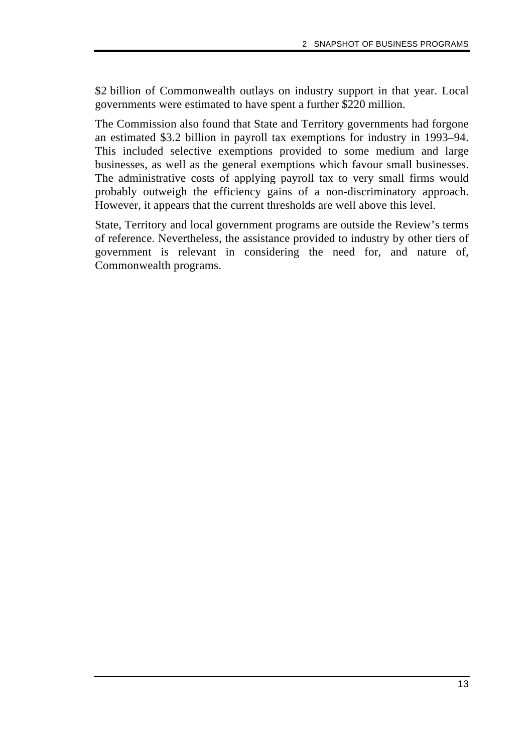\$2 billion of Commonwealth outlays on industry support in that year. Local governments were estimated to have spent a further \$220 million.

The Commission also found that State and Territory governments had forgone an estimated \$3.2 billion in payroll tax exemptions for industry in 1993–94. This included selective exemptions provided to some medium and large businesses, as well as the general exemptions which favour small businesses. The administrative costs of applying payroll tax to very small firms would probably outweigh the efficiency gains of a non-discriminatory approach. However, it appears that the current thresholds are well above this level.

State, Territory and local government programs are outside the Review's terms of reference. Nevertheless, the assistance provided to industry by other tiers of government is relevant in considering the need for, and nature of, Commonwealth programs.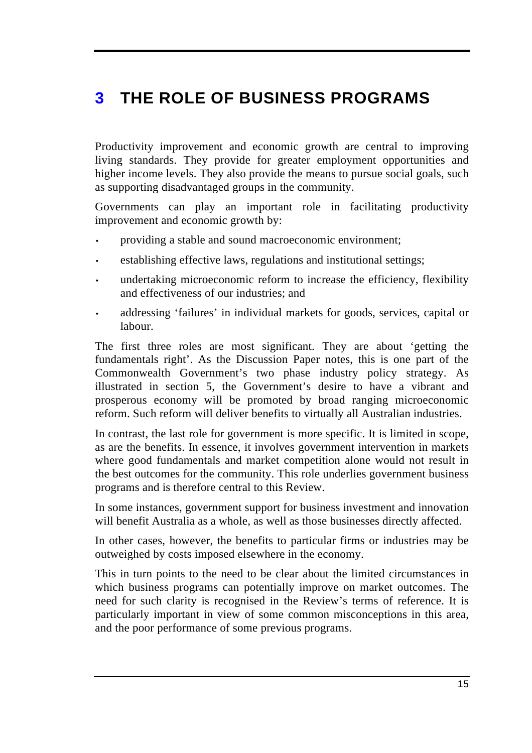## **3 THE ROLE OF BUSINESS PROGRAMS**

Productivity improvement and economic growth are central to improving living standards. They provide for greater employment opportunities and higher income levels. They also provide the means to pursue social goals, such as supporting disadvantaged groups in the community.

Governments can play an important role in facilitating productivity improvement and economic growth by:

- providing a stable and sound macroeconomic environment;
- establishing effective laws, regulations and institutional settings;
- undertaking microeconomic reform to increase the efficiency, flexibility and effectiveness of our industries; and
- addressing 'failures' in individual markets for goods, services, capital or labour.

The first three roles are most significant. They are about 'getting the fundamentals right'. As the Discussion Paper notes, this is one part of the Commonwealth Government's two phase industry policy strategy. As illustrated in section 5, the Government's desire to have a vibrant and prosperous economy will be promoted by broad ranging microeconomic reform. Such reform will deliver benefits to virtually all Australian industries.

In contrast, the last role for government is more specific. It is limited in scope, as are the benefits. In essence, it involves government intervention in markets where good fundamentals and market competition alone would not result in the best outcomes for the community. This role underlies government business programs and is therefore central to this Review.

In some instances, government support for business investment and innovation will benefit Australia as a whole, as well as those businesses directly affected.

In other cases, however, the benefits to particular firms or industries may be outweighed by costs imposed elsewhere in the economy.

This in turn points to the need to be clear about the limited circumstances in which business programs can potentially improve on market outcomes. The need for such clarity is recognised in the Review's terms of reference. It is particularly important in view of some common misconceptions in this area, and the poor performance of some previous programs.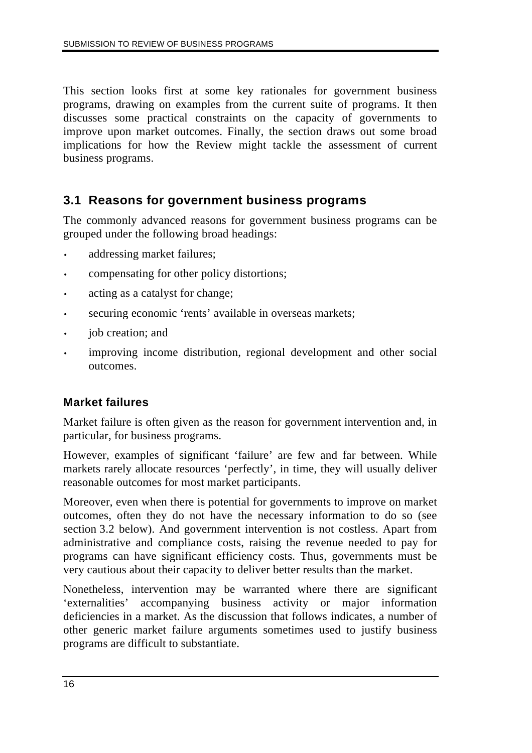This section looks first at some key rationales for government business programs, drawing on examples from the current suite of programs. It then discusses some practical constraints on the capacity of governments to improve upon market outcomes. Finally, the section draws out some broad implications for how the Review might tackle the assessment of current business programs.

## **3.1 Reasons for government business programs**

The commonly advanced reasons for government business programs can be grouped under the following broad headings:

- addressing market failures;
- compensating for other policy distortions;
- acting as a catalyst for change;
- securing economic 'rents' available in overseas markets;
- job creation; and
- improving income distribution, regional development and other social outcomes.

## **Market failures**

Market failure is often given as the reason for government intervention and, in particular, for business programs.

However, examples of significant 'failure' are few and far between. While markets rarely allocate resources 'perfectly', in time, they will usually deliver reasonable outcomes for most market participants.

Moreover, even when there is potential for governments to improve on market outcomes, often they do not have the necessary information to do so (see section 3.2 below). And government intervention is not costless. Apart from administrative and compliance costs, raising the revenue needed to pay for programs can have significant efficiency costs. Thus, governments must be very cautious about their capacity to deliver better results than the market.

Nonetheless, intervention may be warranted where there are significant 'externalities' accompanying business activity or major information deficiencies in a market. As the discussion that follows indicates, a number of other generic market failure arguments sometimes used to justify business programs are difficult to substantiate.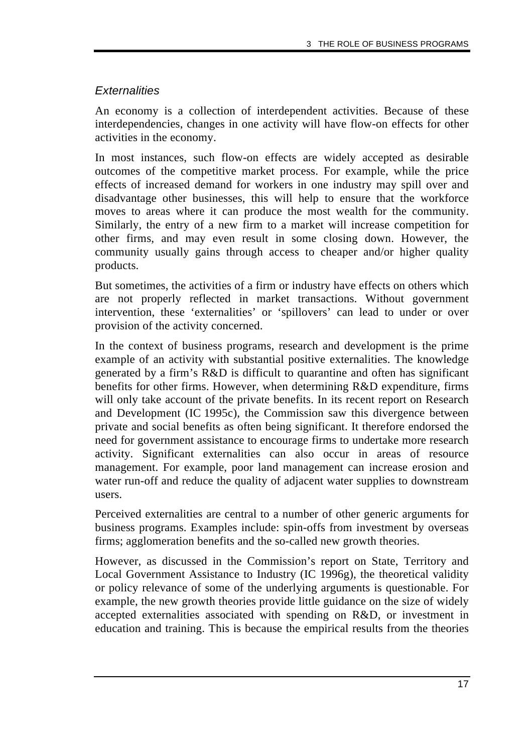#### *Externalities*

An economy is a collection of interdependent activities. Because of these interdependencies, changes in one activity will have flow-on effects for other activities in the economy.

In most instances, such flow-on effects are widely accepted as desirable outcomes of the competitive market process. For example, while the price effects of increased demand for workers in one industry may spill over and disadvantage other businesses, this will help to ensure that the workforce moves to areas where it can produce the most wealth for the community. Similarly, the entry of a new firm to a market will increase competition for other firms, and may even result in some closing down. However, the community usually gains through access to cheaper and/or higher quality products.

But sometimes, the activities of a firm or industry have effects on others which are not properly reflected in market transactions. Without government intervention, these 'externalities' or 'spillovers' can lead to under or over provision of the activity concerned.

In the context of business programs, research and development is the prime example of an activity with substantial positive externalities. The knowledge generated by a firm's R&D is difficult to quarantine and often has significant benefits for other firms. However, when determining R&D expenditure, firms will only take account of the private benefits. In its recent report on Research and Development (IC 1995c), the Commission saw this divergence between private and social benefits as often being significant. It therefore endorsed the need for government assistance to encourage firms to undertake more research activity. Significant externalities can also occur in areas of resource management. For example, poor land management can increase erosion and water run-off and reduce the quality of adjacent water supplies to downstream users.

Perceived externalities are central to a number of other generic arguments for business programs. Examples include: spin-offs from investment by overseas firms; agglomeration benefits and the so-called new growth theories.

However, as discussed in the Commission's report on State, Territory and Local Government Assistance to Industry (IC 1996g), the theoretical validity or policy relevance of some of the underlying arguments is questionable. For example, the new growth theories provide little guidance on the size of widely accepted externalities associated with spending on R&D, or investment in education and training. This is because the empirical results from the theories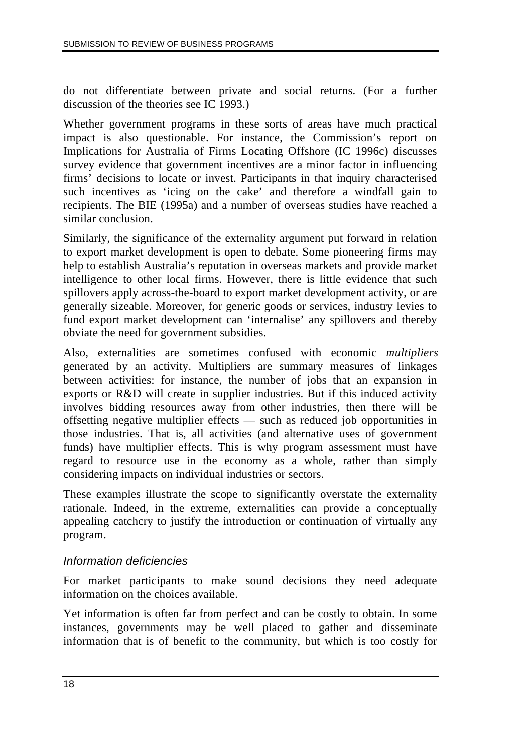do not differentiate between private and social returns. (For a further discussion of the theories see IC 1993.)

Whether government programs in these sorts of areas have much practical impact is also questionable. For instance, the Commission's report on Implications for Australia of Firms Locating Offshore (IC 1996c) discusses survey evidence that government incentives are a minor factor in influencing firms' decisions to locate or invest. Participants in that inquiry characterised such incentives as 'icing on the cake' and therefore a windfall gain to recipients. The BIE (1995a) and a number of overseas studies have reached a similar conclusion.

Similarly, the significance of the externality argument put forward in relation to export market development is open to debate. Some pioneering firms may help to establish Australia's reputation in overseas markets and provide market intelligence to other local firms. However, there is little evidence that such spillovers apply across-the-board to export market development activity, or are generally sizeable. Moreover, for generic goods or services, industry levies to fund export market development can 'internalise' any spillovers and thereby obviate the need for government subsidies.

Also, externalities are sometimes confused with economic *multipliers* generated by an activity. Multipliers are summary measures of linkages between activities: for instance, the number of jobs that an expansion in exports or R&D will create in supplier industries. But if this induced activity involves bidding resources away from other industries, then there will be offsetting negative multiplier effects — such as reduced job opportunities in those industries. That is, all activities (and alternative uses of government funds) have multiplier effects. This is why program assessment must have regard to resource use in the economy as a whole, rather than simply considering impacts on individual industries or sectors.

These examples illustrate the scope to significantly overstate the externality rationale. Indeed, in the extreme, externalities can provide a conceptually appealing catchcry to justify the introduction or continuation of virtually any program.

## *Information deficiencies*

For market participants to make sound decisions they need adequate information on the choices available.

Yet information is often far from perfect and can be costly to obtain. In some instances, governments may be well placed to gather and disseminate information that is of benefit to the community, but which is too costly for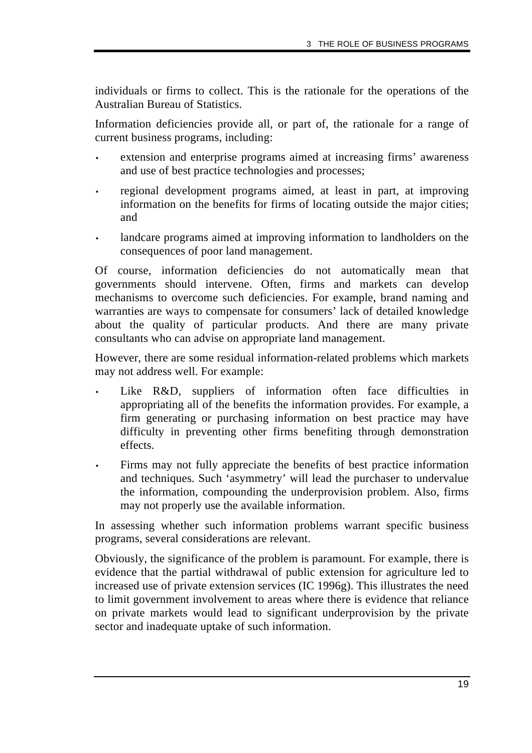individuals or firms to collect. This is the rationale for the operations of the Australian Bureau of Statistics.

Information deficiencies provide all, or part of, the rationale for a range of current business programs, including:

- extension and enterprise programs aimed at increasing firms' awareness and use of best practice technologies and processes;
- regional development programs aimed, at least in part, at improving information on the benefits for firms of locating outside the major cities; and
- landcare programs aimed at improving information to landholders on the consequences of poor land management.

Of course, information deficiencies do not automatically mean that governments should intervene. Often, firms and markets can develop mechanisms to overcome such deficiencies. For example, brand naming and warranties are ways to compensate for consumers' lack of detailed knowledge about the quality of particular products. And there are many private consultants who can advise on appropriate land management.

However, there are some residual information-related problems which markets may not address well. For example:

- Like R&D, suppliers of information often face difficulties in appropriating all of the benefits the information provides. For example, a firm generating or purchasing information on best practice may have difficulty in preventing other firms benefiting through demonstration effects.
- Firms may not fully appreciate the benefits of best practice information and techniques. Such 'asymmetry' will lead the purchaser to undervalue the information, compounding the underprovision problem. Also, firms may not properly use the available information.

In assessing whether such information problems warrant specific business programs, several considerations are relevant.

Obviously, the significance of the problem is paramount. For example, there is evidence that the partial withdrawal of public extension for agriculture led to increased use of private extension services (IC 1996g). This illustrates the need to limit government involvement to areas where there is evidence that reliance on private markets would lead to significant underprovision by the private sector and inadequate uptake of such information.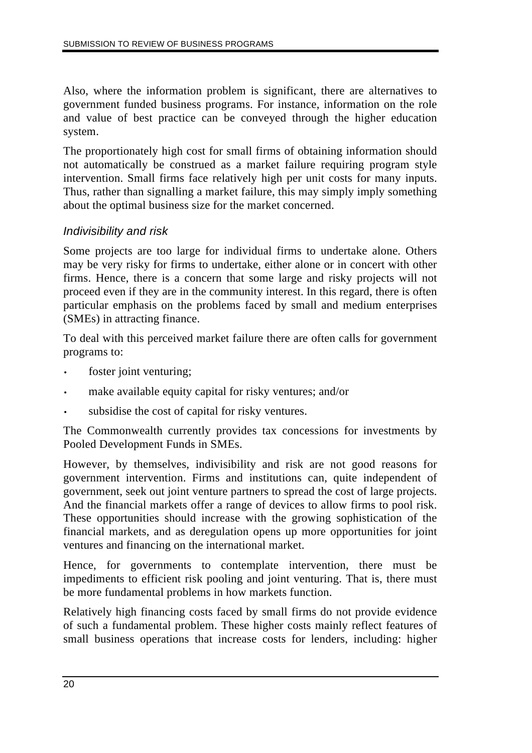Also, where the information problem is significant, there are alternatives to government funded business programs. For instance, information on the role and value of best practice can be conveyed through the higher education system.

The proportionately high cost for small firms of obtaining information should not automatically be construed as a market failure requiring program style intervention. Small firms face relatively high per unit costs for many inputs. Thus, rather than signalling a market failure, this may simply imply something about the optimal business size for the market concerned.

#### *Indivisibility and risk*

Some projects are too large for individual firms to undertake alone. Others may be very risky for firms to undertake, either alone or in concert with other firms. Hence, there is a concern that some large and risky projects will not proceed even if they are in the community interest. In this regard, there is often particular emphasis on the problems faced by small and medium enterprises (SMEs) in attracting finance.

To deal with this perceived market failure there are often calls for government programs to:

- foster joint venturing;
- make available equity capital for risky ventures; and/or
- subsidise the cost of capital for risky ventures.

The Commonwealth currently provides tax concessions for investments by Pooled Development Funds in SMEs.

However, by themselves, indivisibility and risk are not good reasons for government intervention. Firms and institutions can, quite independent of government, seek out joint venture partners to spread the cost of large projects. And the financial markets offer a range of devices to allow firms to pool risk. These opportunities should increase with the growing sophistication of the financial markets, and as deregulation opens up more opportunities for joint ventures and financing on the international market.

Hence, for governments to contemplate intervention, there must be impediments to efficient risk pooling and joint venturing. That is, there must be more fundamental problems in how markets function.

Relatively high financing costs faced by small firms do not provide evidence of such a fundamental problem. These higher costs mainly reflect features of small business operations that increase costs for lenders, including: higher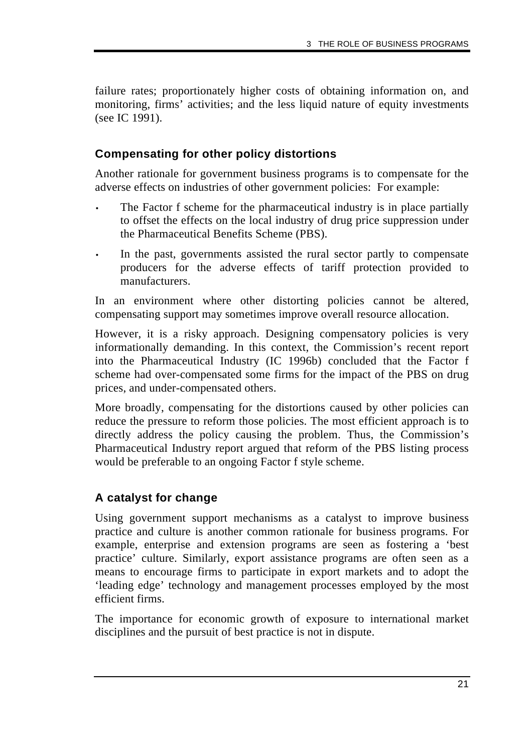failure rates; proportionately higher costs of obtaining information on, and monitoring, firms' activities; and the less liquid nature of equity investments (see IC 1991).

#### **Compensating for other policy distortions**

Another rationale for government business programs is to compensate for the adverse effects on industries of other government policies: For example:

- The Factor f scheme for the pharmaceutical industry is in place partially to offset the effects on the local industry of drug price suppression under the Pharmaceutical Benefits Scheme (PBS).
- In the past, governments assisted the rural sector partly to compensate producers for the adverse effects of tariff protection provided to manufacturers.

In an environment where other distorting policies cannot be altered, compensating support may sometimes improve overall resource allocation.

However, it is a risky approach. Designing compensatory policies is very informationally demanding. In this context, the Commission's recent report into the Pharmaceutical Industry (IC 1996b) concluded that the Factor f scheme had over-compensated some firms for the impact of the PBS on drug prices, and under-compensated others.

More broadly, compensating for the distortions caused by other policies can reduce the pressure to reform those policies. The most efficient approach is to directly address the policy causing the problem. Thus, the Commission's Pharmaceutical Industry report argued that reform of the PBS listing process would be preferable to an ongoing Factor f style scheme.

## **A catalyst for change**

Using government support mechanisms as a catalyst to improve business practice and culture is another common rationale for business programs. For example, enterprise and extension programs are seen as fostering a 'best practice' culture. Similarly, export assistance programs are often seen as a means to encourage firms to participate in export markets and to adopt the 'leading edge' technology and management processes employed by the most efficient firms.

The importance for economic growth of exposure to international market disciplines and the pursuit of best practice is not in dispute.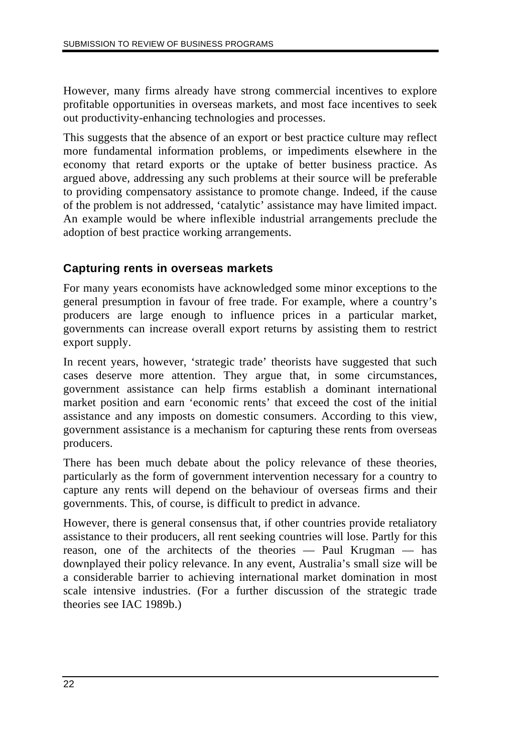However, many firms already have strong commercial incentives to explore profitable opportunities in overseas markets, and most face incentives to seek out productivity-enhancing technologies and processes.

This suggests that the absence of an export or best practice culture may reflect more fundamental information problems, or impediments elsewhere in the economy that retard exports or the uptake of better business practice. As argued above, addressing any such problems at their source will be preferable to providing compensatory assistance to promote change. Indeed, if the cause of the problem is not addressed, 'catalytic' assistance may have limited impact. An example would be where inflexible industrial arrangements preclude the adoption of best practice working arrangements.

## **Capturing rents in overseas markets**

For many years economists have acknowledged some minor exceptions to the general presumption in favour of free trade. For example, where a country's producers are large enough to influence prices in a particular market, governments can increase overall export returns by assisting them to restrict export supply.

In recent years, however, 'strategic trade' theorists have suggested that such cases deserve more attention. They argue that, in some circumstances, government assistance can help firms establish a dominant international market position and earn 'economic rents' that exceed the cost of the initial assistance and any imposts on domestic consumers. According to this view, government assistance is a mechanism for capturing these rents from overseas producers.

There has been much debate about the policy relevance of these theories, particularly as the form of government intervention necessary for a country to capture any rents will depend on the behaviour of overseas firms and their governments. This, of course, is difficult to predict in advance.

However, there is general consensus that, if other countries provide retaliatory assistance to their producers, all rent seeking countries will lose. Partly for this reason, one of the architects of the theories — Paul Krugman — has downplayed their policy relevance. In any event, Australia's small size will be a considerable barrier to achieving international market domination in most scale intensive industries. (For a further discussion of the strategic trade theories see IAC 1989b.)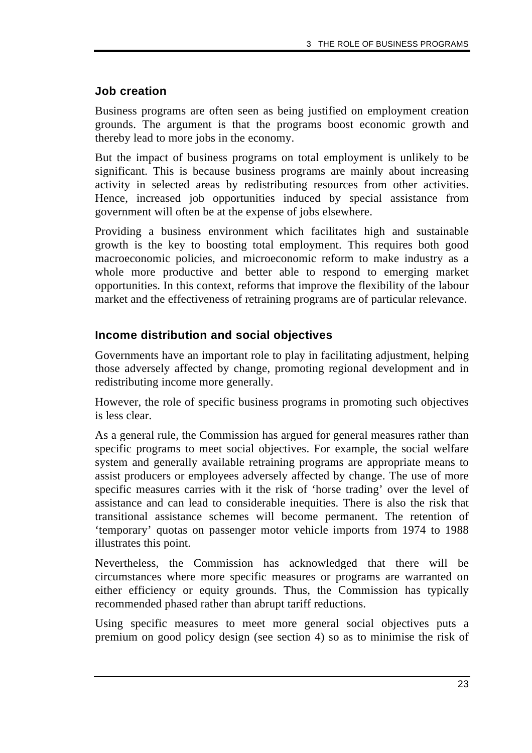#### **Job creation**

Business programs are often seen as being justified on employment creation grounds. The argument is that the programs boost economic growth and thereby lead to more jobs in the economy.

But the impact of business programs on total employment is unlikely to be significant. This is because business programs are mainly about increasing activity in selected areas by redistributing resources from other activities. Hence, increased job opportunities induced by special assistance from government will often be at the expense of jobs elsewhere.

Providing a business environment which facilitates high and sustainable growth is the key to boosting total employment. This requires both good macroeconomic policies, and microeconomic reform to make industry as a whole more productive and better able to respond to emerging market opportunities. In this context, reforms that improve the flexibility of the labour market and the effectiveness of retraining programs are of particular relevance.

## **Income distribution and social objectives**

Governments have an important role to play in facilitating adjustment, helping those adversely affected by change, promoting regional development and in redistributing income more generally.

However, the role of specific business programs in promoting such objectives is less clear.

As a general rule, the Commission has argued for general measures rather than specific programs to meet social objectives. For example, the social welfare system and generally available retraining programs are appropriate means to assist producers or employees adversely affected by change. The use of more specific measures carries with it the risk of 'horse trading' over the level of assistance and can lead to considerable inequities. There is also the risk that transitional assistance schemes will become permanent. The retention of 'temporary' quotas on passenger motor vehicle imports from 1974 to 1988 illustrates this point.

Nevertheless, the Commission has acknowledged that there will be circumstances where more specific measures or programs are warranted on either efficiency or equity grounds. Thus, the Commission has typically recommended phased rather than abrupt tariff reductions.

Using specific measures to meet more general social objectives puts a premium on good policy design (see section 4) so as to minimise the risk of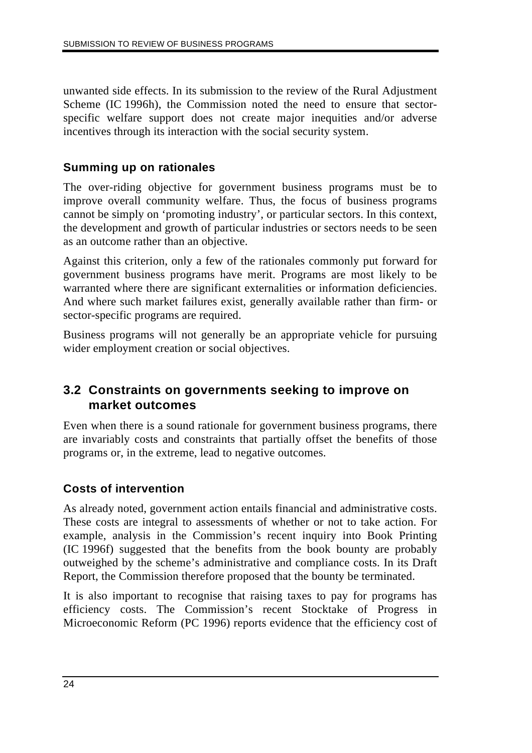unwanted side effects. In its submission to the review of the Rural Adjustment Scheme (IC 1996h), the Commission noted the need to ensure that sectorspecific welfare support does not create major inequities and/or adverse incentives through its interaction with the social security system.

## **Summing up on rationales**

The over-riding objective for government business programs must be to improve overall community welfare. Thus, the focus of business programs cannot be simply on 'promoting industry', or particular sectors. In this context, the development and growth of particular industries or sectors needs to be seen as an outcome rather than an objective.

Against this criterion, only a few of the rationales commonly put forward for government business programs have merit. Programs are most likely to be warranted where there are significant externalities or information deficiencies. And where such market failures exist, generally available rather than firm- or sector-specific programs are required.

Business programs will not generally be an appropriate vehicle for pursuing wider employment creation or social objectives.

## **3.2 Constraints on governments seeking to improve on market outcomes**

Even when there is a sound rationale for government business programs, there are invariably costs and constraints that partially offset the benefits of those programs or, in the extreme, lead to negative outcomes.

## **Costs of intervention**

As already noted, government action entails financial and administrative costs. These costs are integral to assessments of whether or not to take action. For example, analysis in the Commission's recent inquiry into Book Printing (IC 1996f) suggested that the benefits from the book bounty are probably outweighed by the scheme's administrative and compliance costs. In its Draft Report, the Commission therefore proposed that the bounty be terminated.

It is also important to recognise that raising taxes to pay for programs has efficiency costs. The Commission's recent Stocktake of Progress in Microeconomic Reform (PC 1996) reports evidence that the efficiency cost of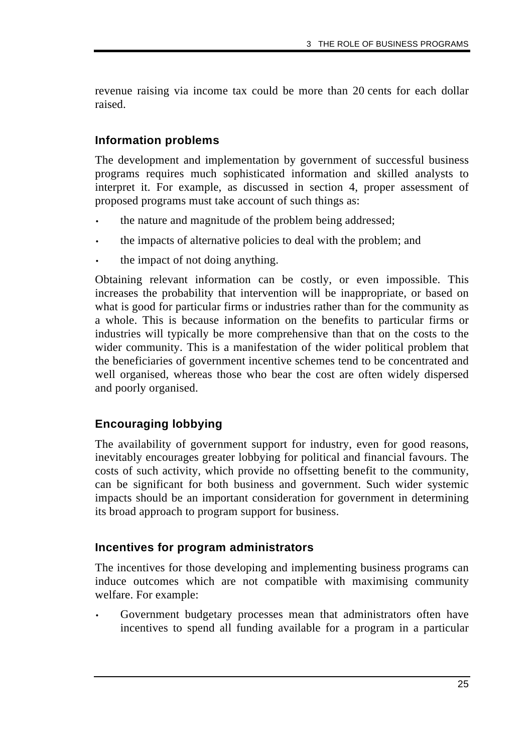revenue raising via income tax could be more than 20 cents for each dollar raised.

#### **Information problems**

The development and implementation by government of successful business programs requires much sophisticated information and skilled analysts to interpret it. For example, as discussed in section 4, proper assessment of proposed programs must take account of such things as:

- the nature and magnitude of the problem being addressed;
- the impacts of alternative policies to deal with the problem; and
- the impact of not doing anything.

Obtaining relevant information can be costly, or even impossible. This increases the probability that intervention will be inappropriate, or based on what is good for particular firms or industries rather than for the community as a whole. This is because information on the benefits to particular firms or industries will typically be more comprehensive than that on the costs to the wider community. This is a manifestation of the wider political problem that the beneficiaries of government incentive schemes tend to be concentrated and well organised, whereas those who bear the cost are often widely dispersed and poorly organised.

## **Encouraging lobbying**

The availability of government support for industry, even for good reasons, inevitably encourages greater lobbying for political and financial favours. The costs of such activity, which provide no offsetting benefit to the community, can be significant for both business and government. Such wider systemic impacts should be an important consideration for government in determining its broad approach to program support for business.

#### **Incentives for program administrators**

The incentives for those developing and implementing business programs can induce outcomes which are not compatible with maximising community welfare. For example:

• Government budgetary processes mean that administrators often have incentives to spend all funding available for a program in a particular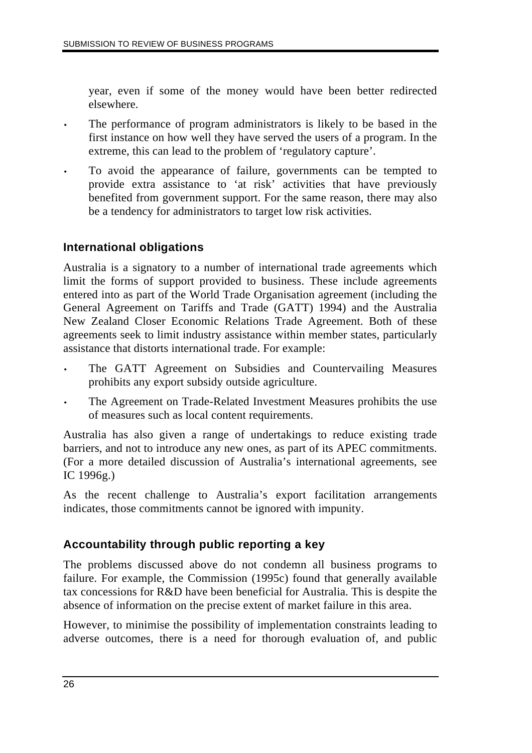year, even if some of the money would have been better redirected elsewhere.

- The performance of program administrators is likely to be based in the first instance on how well they have served the users of a program. In the extreme, this can lead to the problem of 'regulatory capture'.
- To avoid the appearance of failure, governments can be tempted to provide extra assistance to 'at risk' activities that have previously benefited from government support. For the same reason, there may also be a tendency for administrators to target low risk activities.

## **International obligations**

Australia is a signatory to a number of international trade agreements which limit the forms of support provided to business. These include agreements entered into as part of the World Trade Organisation agreement (including the General Agreement on Tariffs and Trade (GATT) 1994) and the Australia New Zealand Closer Economic Relations Trade Agreement. Both of these agreements seek to limit industry assistance within member states, particularly assistance that distorts international trade. For example:

- The GATT Agreement on Subsidies and Countervailing Measures prohibits any export subsidy outside agriculture.
- The Agreement on Trade-Related Investment Measures prohibits the use of measures such as local content requirements.

Australia has also given a range of undertakings to reduce existing trade barriers, and not to introduce any new ones, as part of its APEC commitments. (For a more detailed discussion of Australia's international agreements, see IC 1996g.)

As the recent challenge to Australia's export facilitation arrangements indicates, those commitments cannot be ignored with impunity.

## **Accountability through public reporting a key**

The problems discussed above do not condemn all business programs to failure. For example, the Commission (1995c) found that generally available tax concessions for R&D have been beneficial for Australia. This is despite the absence of information on the precise extent of market failure in this area.

However, to minimise the possibility of implementation constraints leading to adverse outcomes, there is a need for thorough evaluation of, and public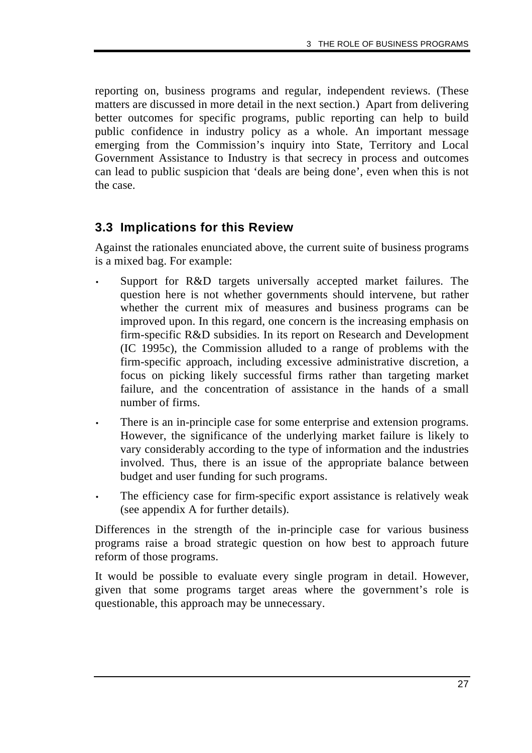reporting on, business programs and regular, independent reviews. (These matters are discussed in more detail in the next section.) Apart from delivering better outcomes for specific programs, public reporting can help to build public confidence in industry policy as a whole. An important message emerging from the Commission's inquiry into State, Territory and Local Government Assistance to Industry is that secrecy in process and outcomes can lead to public suspicion that 'deals are being done', even when this is not the case.

## **3.3 Implications for this Review**

Against the rationales enunciated above, the current suite of business programs is a mixed bag. For example:

- Support for R&D targets universally accepted market failures. The question here is not whether governments should intervene, but rather whether the current mix of measures and business programs can be improved upon. In this regard, one concern is the increasing emphasis on firm-specific R&D subsidies. In its report on Research and Development (IC 1995c), the Commission alluded to a range of problems with the firm-specific approach, including excessive administrative discretion, a focus on picking likely successful firms rather than targeting market failure, and the concentration of assistance in the hands of a small number of firms.
- There is an in-principle case for some enterprise and extension programs. However, the significance of the underlying market failure is likely to vary considerably according to the type of information and the industries involved. Thus, there is an issue of the appropriate balance between budget and user funding for such programs.
- The efficiency case for firm-specific export assistance is relatively weak (see appendix A for further details).

Differences in the strength of the in-principle case for various business programs raise a broad strategic question on how best to approach future reform of those programs.

It would be possible to evaluate every single program in detail. However, given that some programs target areas where the government's role is questionable, this approach may be unnecessary.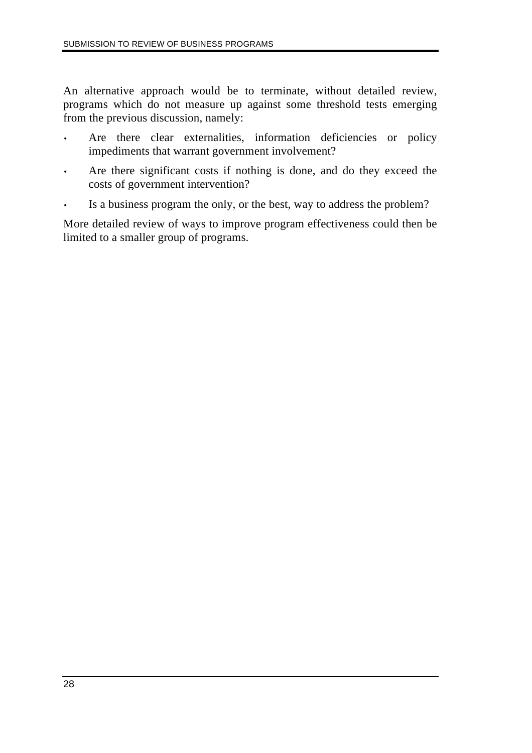An alternative approach would be to terminate, without detailed review, programs which do not measure up against some threshold tests emerging from the previous discussion, namely:

- Are there clear externalities, information deficiencies or policy impediments that warrant government involvement?
- Are there significant costs if nothing is done, and do they exceed the costs of government intervention?
- Is a business program the only, or the best, way to address the problem?

More detailed review of ways to improve program effectiveness could then be limited to a smaller group of programs.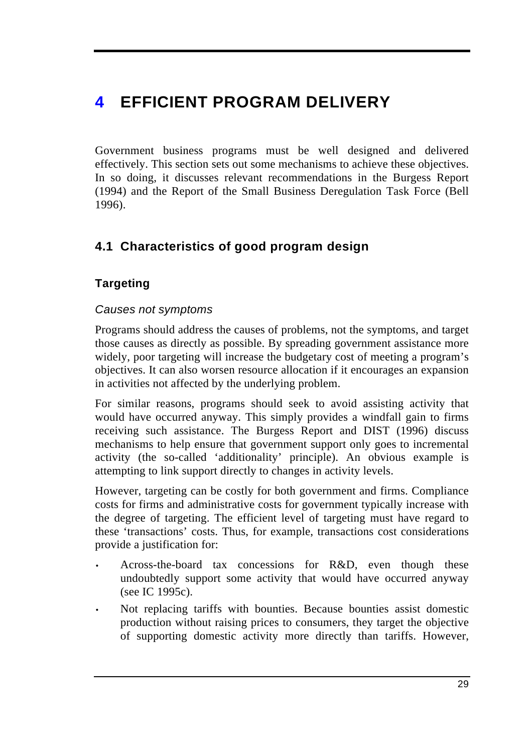# **4 EFFICIENT PROGRAM DELIVERY**

Government business programs must be well designed and delivered effectively. This section sets out some mechanisms to achieve these objectives. In so doing, it discusses relevant recommendations in the Burgess Report (1994) and the Report of the Small Business Deregulation Task Force (Bell 1996).

## **4.1 Characteristics of good program design**

## **Targeting**

#### *Causes not symptoms*

Programs should address the causes of problems, not the symptoms, and target those causes as directly as possible. By spreading government assistance more widely, poor targeting will increase the budgetary cost of meeting a program's objectives. It can also worsen resource allocation if it encourages an expansion in activities not affected by the underlying problem.

For similar reasons, programs should seek to avoid assisting activity that would have occurred anyway. This simply provides a windfall gain to firms receiving such assistance. The Burgess Report and DIST (1996) discuss mechanisms to help ensure that government support only goes to incremental activity (the so-called 'additionality' principle). An obvious example is attempting to link support directly to changes in activity levels.

However, targeting can be costly for both government and firms. Compliance costs for firms and administrative costs for government typically increase with the degree of targeting. The efficient level of targeting must have regard to these 'transactions' costs. Thus, for example, transactions cost considerations provide a justification for:

- Across-the-board tax concessions for R&D, even though these undoubtedly support some activity that would have occurred anyway (see IC 1995c).
- Not replacing tariffs with bounties. Because bounties assist domestic production without raising prices to consumers, they target the objective of supporting domestic activity more directly than tariffs. However,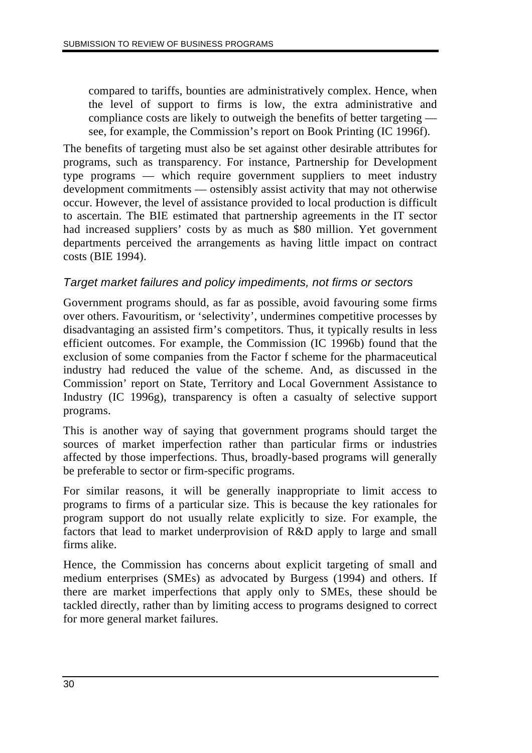compared to tariffs, bounties are administratively complex. Hence, when the level of support to firms is low, the extra administrative and compliance costs are likely to outweigh the benefits of better targeting see, for example, the Commission's report on Book Printing (IC 1996f).

The benefits of targeting must also be set against other desirable attributes for programs, such as transparency. For instance, Partnership for Development type programs — which require government suppliers to meet industry development commitments — ostensibly assist activity that may not otherwise occur. However, the level of assistance provided to local production is difficult to ascertain. The BIE estimated that partnership agreements in the IT sector had increased suppliers' costs by as much as \$80 million. Yet government departments perceived the arrangements as having little impact on contract costs (BIE 1994).

#### *Target market failures and policy impediments, not firms or sectors*

Government programs should, as far as possible, avoid favouring some firms over others. Favouritism, or 'selectivity', undermines competitive processes by disadvantaging an assisted firm's competitors. Thus, it typically results in less efficient outcomes. For example, the Commission (IC 1996b) found that the exclusion of some companies from the Factor f scheme for the pharmaceutical industry had reduced the value of the scheme. And, as discussed in the Commission' report on State, Territory and Local Government Assistance to Industry (IC 1996g), transparency is often a casualty of selective support programs.

This is another way of saying that government programs should target the sources of market imperfection rather than particular firms or industries affected by those imperfections. Thus, broadly-based programs will generally be preferable to sector or firm-specific programs.

For similar reasons, it will be generally inappropriate to limit access to programs to firms of a particular size. This is because the key rationales for program support do not usually relate explicitly to size. For example, the factors that lead to market underprovision of R&D apply to large and small firms alike.

Hence, the Commission has concerns about explicit targeting of small and medium enterprises (SMEs) as advocated by Burgess (1994) and others. If there are market imperfections that apply only to SMEs, these should be tackled directly, rather than by limiting access to programs designed to correct for more general market failures.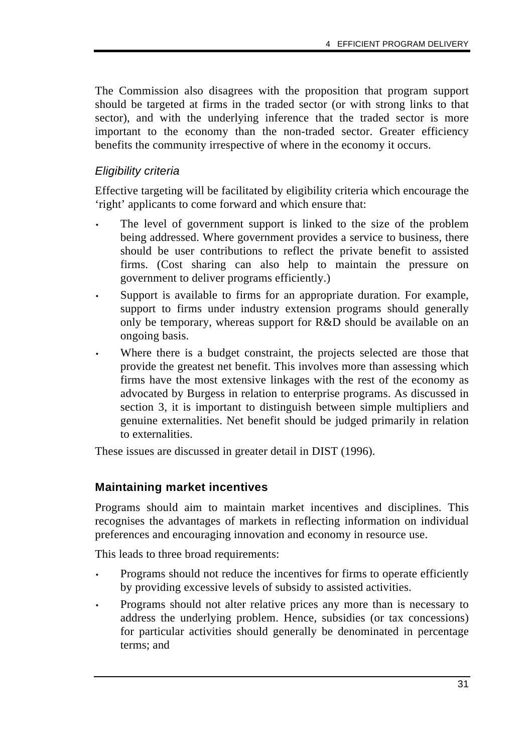The Commission also disagrees with the proposition that program support should be targeted at firms in the traded sector (or with strong links to that sector), and with the underlying inference that the traded sector is more important to the economy than the non-traded sector. Greater efficiency benefits the community irrespective of where in the economy it occurs.

#### *Eligibility criteria*

Effective targeting will be facilitated by eligibility criteria which encourage the 'right' applicants to come forward and which ensure that:

- The level of government support is linked to the size of the problem being addressed. Where government provides a service to business, there should be user contributions to reflect the private benefit to assisted firms. (Cost sharing can also help to maintain the pressure on government to deliver programs efficiently.)
- Support is available to firms for an appropriate duration. For example, support to firms under industry extension programs should generally only be temporary, whereas support for R&D should be available on an ongoing basis.
- Where there is a budget constraint, the projects selected are those that provide the greatest net benefit. This involves more than assessing which firms have the most extensive linkages with the rest of the economy as advocated by Burgess in relation to enterprise programs. As discussed in section 3, it is important to distinguish between simple multipliers and genuine externalities. Net benefit should be judged primarily in relation to externalities.

These issues are discussed in greater detail in DIST (1996).

#### **Maintaining market incentives**

Programs should aim to maintain market incentives and disciplines. This recognises the advantages of markets in reflecting information on individual preferences and encouraging innovation and economy in resource use.

This leads to three broad requirements:

- Programs should not reduce the incentives for firms to operate efficiently by providing excessive levels of subsidy to assisted activities.
- Programs should not alter relative prices any more than is necessary to address the underlying problem. Hence, subsidies (or tax concessions) for particular activities should generally be denominated in percentage terms; and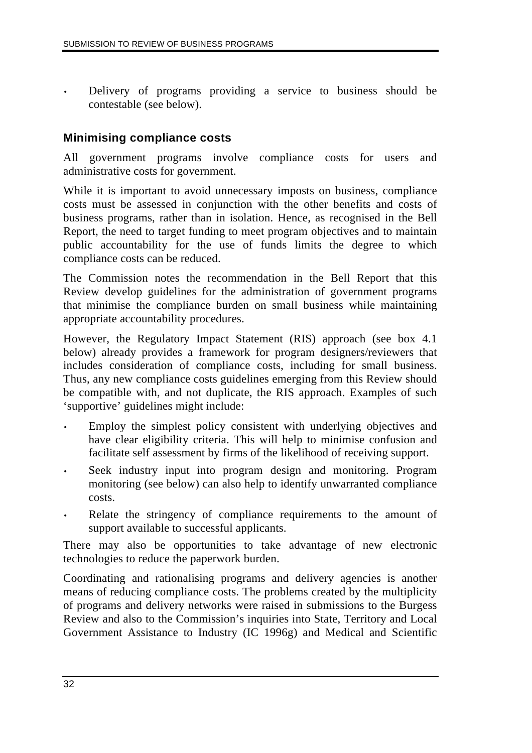• Delivery of programs providing a service to business should be contestable (see below).

## **Minimising compliance costs**

All government programs involve compliance costs for users and administrative costs for government.

While it is important to avoid unnecessary imposts on business, compliance costs must be assessed in conjunction with the other benefits and costs of business programs, rather than in isolation. Hence, as recognised in the Bell Report, the need to target funding to meet program objectives and to maintain public accountability for the use of funds limits the degree to which compliance costs can be reduced.

The Commission notes the recommendation in the Bell Report that this Review develop guidelines for the administration of government programs that minimise the compliance burden on small business while maintaining appropriate accountability procedures.

However, the Regulatory Impact Statement (RIS) approach (see box 4.1 below) already provides a framework for program designers/reviewers that includes consideration of compliance costs, including for small business. Thus, any new compliance costs guidelines emerging from this Review should be compatible with, and not duplicate, the RIS approach. Examples of such 'supportive' guidelines might include:

- Employ the simplest policy consistent with underlying objectives and have clear eligibility criteria. This will help to minimise confusion and facilitate self assessment by firms of the likelihood of receiving support.
- Seek industry input into program design and monitoring. Program monitoring (see below) can also help to identify unwarranted compliance costs.
- Relate the stringency of compliance requirements to the amount of support available to successful applicants.

There may also be opportunities to take advantage of new electronic technologies to reduce the paperwork burden.

Coordinating and rationalising programs and delivery agencies is another means of reducing compliance costs. The problems created by the multiplicity of programs and delivery networks were raised in submissions to the Burgess Review and also to the Commission's inquiries into State, Territory and Local Government Assistance to Industry (IC 1996g) and Medical and Scientific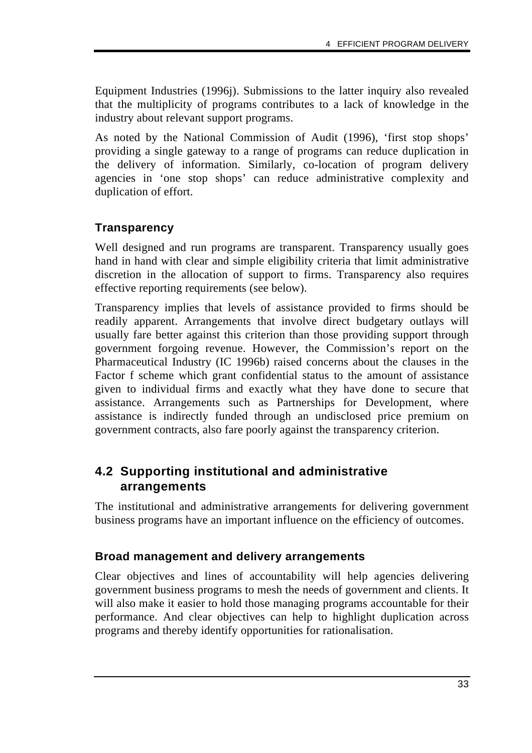Equipment Industries (1996j). Submissions to the latter inquiry also revealed that the multiplicity of programs contributes to a lack of knowledge in the industry about relevant support programs.

As noted by the National Commission of Audit (1996), 'first stop shops' providing a single gateway to a range of programs can reduce duplication in the delivery of information. Similarly, co-location of program delivery agencies in 'one stop shops' can reduce administrative complexity and duplication of effort.

## **Transparency**

Well designed and run programs are transparent. Transparency usually goes hand in hand with clear and simple eligibility criteria that limit administrative discretion in the allocation of support to firms. Transparency also requires effective reporting requirements (see below).

Transparency implies that levels of assistance provided to firms should be readily apparent. Arrangements that involve direct budgetary outlays will usually fare better against this criterion than those providing support through government forgoing revenue. However, the Commission's report on the Pharmaceutical Industry (IC 1996b) raised concerns about the clauses in the Factor f scheme which grant confidential status to the amount of assistance given to individual firms and exactly what they have done to secure that assistance. Arrangements such as Partnerships for Development, where assistance is indirectly funded through an undisclosed price premium on government contracts, also fare poorly against the transparency criterion.

## **4.2 Supporting institutional and administrative arrangements**

The institutional and administrative arrangements for delivering government business programs have an important influence on the efficiency of outcomes.

## **Broad management and delivery arrangements**

Clear objectives and lines of accountability will help agencies delivering government business programs to mesh the needs of government and clients. It will also make it easier to hold those managing programs accountable for their performance. And clear objectives can help to highlight duplication across programs and thereby identify opportunities for rationalisation.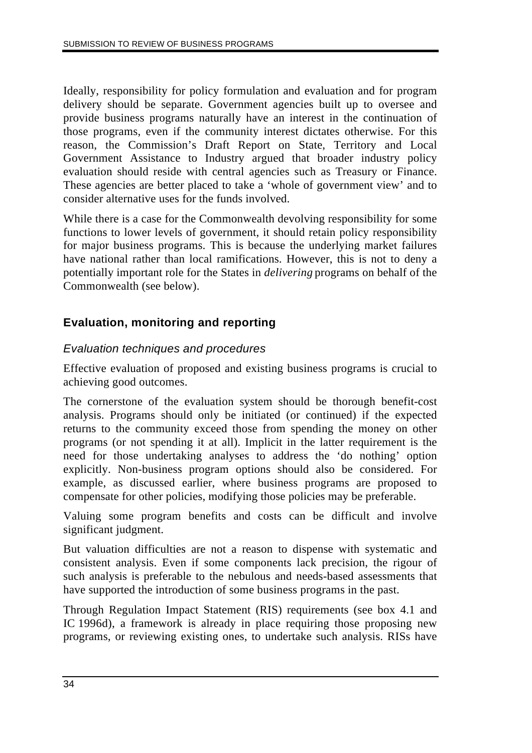Ideally, responsibility for policy formulation and evaluation and for program delivery should be separate. Government agencies built up to oversee and provide business programs naturally have an interest in the continuation of those programs, even if the community interest dictates otherwise. For this reason, the Commission's Draft Report on State, Territory and Local Government Assistance to Industry argued that broader industry policy evaluation should reside with central agencies such as Treasury or Finance. These agencies are better placed to take a 'whole of government view' and to consider alternative uses for the funds involved.

While there is a case for the Commonwealth devolving responsibility for some functions to lower levels of government, it should retain policy responsibility for major business programs. This is because the underlying market failures have national rather than local ramifications. However, this is not to deny a potentially important role for the States in *delivering* programs on behalf of the Commonwealth (see below).

## **Evaluation, monitoring and reporting**

## *Evaluation techniques and procedures*

Effective evaluation of proposed and existing business programs is crucial to achieving good outcomes.

The cornerstone of the evaluation system should be thorough benefit-cost analysis. Programs should only be initiated (or continued) if the expected returns to the community exceed those from spending the money on other programs (or not spending it at all). Implicit in the latter requirement is the need for those undertaking analyses to address the 'do nothing' option explicitly. Non-business program options should also be considered. For example, as discussed earlier, where business programs are proposed to compensate for other policies, modifying those policies may be preferable.

Valuing some program benefits and costs can be difficult and involve significant judgment.

But valuation difficulties are not a reason to dispense with systematic and consistent analysis. Even if some components lack precision, the rigour of such analysis is preferable to the nebulous and needs-based assessments that have supported the introduction of some business programs in the past.

Through Regulation Impact Statement (RIS) requirements (see box 4.1 and IC 1996d), a framework is already in place requiring those proposing new programs, or reviewing existing ones, to undertake such analysis. RISs have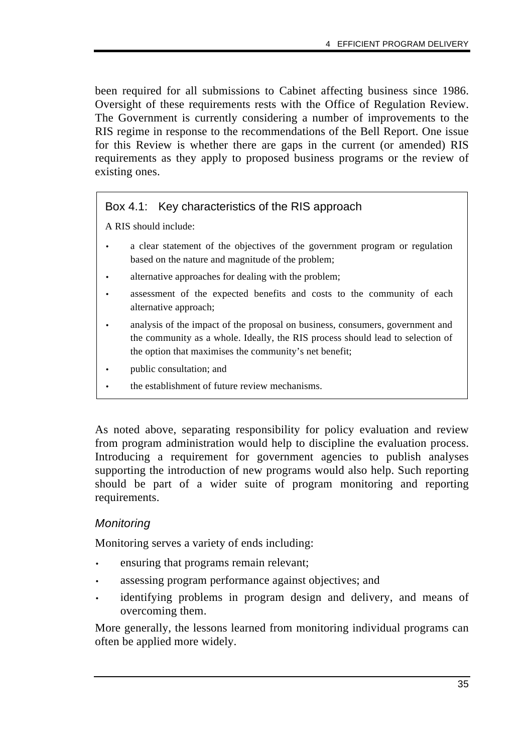been required for all submissions to Cabinet affecting business since 1986. Oversight of these requirements rests with the Office of Regulation Review. The Government is currently considering a number of improvements to the RIS regime in response to the recommendations of the Bell Report. One issue for this Review is whether there are gaps in the current (or amended) RIS requirements as they apply to proposed business programs or the review of existing ones.

#### Box 4.1: Key characteristics of the RIS approach

A RIS should include:

- a clear statement of the objectives of the government program or regulation based on the nature and magnitude of the problem;
- alternative approaches for dealing with the problem;
- assessment of the expected benefits and costs to the community of each alternative approach;
- analysis of the impact of the proposal on business, consumers, government and the community as a whole. Ideally, the RIS process should lead to selection of the option that maximises the community's net benefit;
- public consultation; and
- the establishment of future review mechanisms.

As noted above, separating responsibility for policy evaluation and review from program administration would help to discipline the evaluation process. Introducing a requirement for government agencies to publish analyses supporting the introduction of new programs would also help. Such reporting should be part of a wider suite of program monitoring and reporting requirements.

#### *Monitoring*

Monitoring serves a variety of ends including:

- ensuring that programs remain relevant;
- assessing program performance against objectives; and
- identifying problems in program design and delivery, and means of overcoming them.

More generally, the lessons learned from monitoring individual programs can often be applied more widely.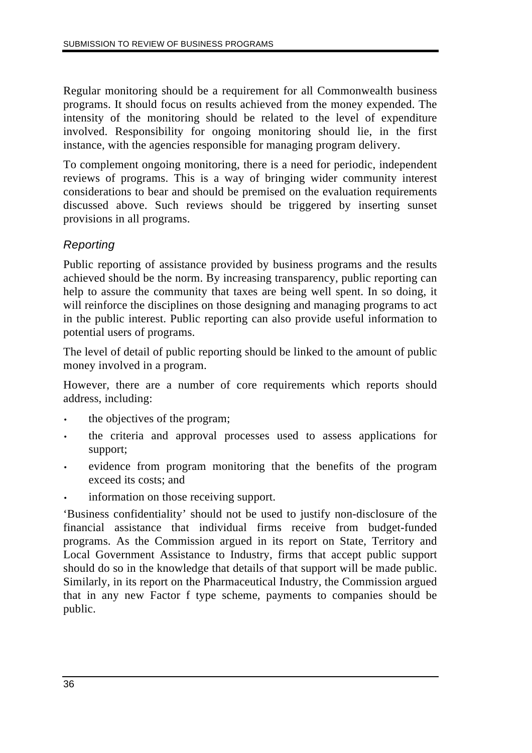Regular monitoring should be a requirement for all Commonwealth business programs. It should focus on results achieved from the money expended. The intensity of the monitoring should be related to the level of expenditure involved. Responsibility for ongoing monitoring should lie, in the first instance, with the agencies responsible for managing program delivery.

To complement ongoing monitoring, there is a need for periodic, independent reviews of programs. This is a way of bringing wider community interest considerations to bear and should be premised on the evaluation requirements discussed above. Such reviews should be triggered by inserting sunset provisions in all programs.

## *Reporting*

Public reporting of assistance provided by business programs and the results achieved should be the norm. By increasing transparency, public reporting can help to assure the community that taxes are being well spent. In so doing, it will reinforce the disciplines on those designing and managing programs to act in the public interest. Public reporting can also provide useful information to potential users of programs.

The level of detail of public reporting should be linked to the amount of public money involved in a program.

However, there are a number of core requirements which reports should address, including:

- the objectives of the program;
- the criteria and approval processes used to assess applications for support;
- evidence from program monitoring that the benefits of the program exceed its costs; and
- information on those receiving support.

'Business confidentiality' should not be used to justify non-disclosure of the financial assistance that individual firms receive from budget-funded programs. As the Commission argued in its report on State, Territory and Local Government Assistance to Industry, firms that accept public support should do so in the knowledge that details of that support will be made public. Similarly, in its report on the Pharmaceutical Industry, the Commission argued that in any new Factor f type scheme, payments to companies should be public.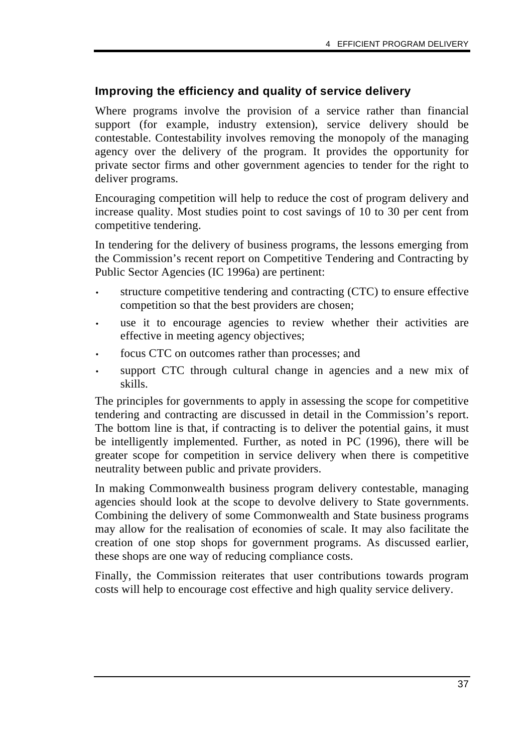#### **Improving the efficiency and quality of service delivery**

Where programs involve the provision of a service rather than financial support (for example, industry extension), service delivery should be contestable. Contestability involves removing the monopoly of the managing agency over the delivery of the program. It provides the opportunity for private sector firms and other government agencies to tender for the right to deliver programs.

Encouraging competition will help to reduce the cost of program delivery and increase quality. Most studies point to cost savings of 10 to 30 per cent from competitive tendering.

In tendering for the delivery of business programs, the lessons emerging from the Commission's recent report on Competitive Tendering and Contracting by Public Sector Agencies (IC 1996a) are pertinent:

- structure competitive tendering and contracting (CTC) to ensure effective competition so that the best providers are chosen;
- use it to encourage agencies to review whether their activities are effective in meeting agency objectives;
- focus CTC on outcomes rather than processes; and
- support CTC through cultural change in agencies and a new mix of skills.

The principles for governments to apply in assessing the scope for competitive tendering and contracting are discussed in detail in the Commission's report. The bottom line is that, if contracting is to deliver the potential gains, it must be intelligently implemented. Further, as noted in PC (1996), there will be greater scope for competition in service delivery when there is competitive neutrality between public and private providers.

In making Commonwealth business program delivery contestable, managing agencies should look at the scope to devolve delivery to State governments. Combining the delivery of some Commonwealth and State business programs may allow for the realisation of economies of scale. It may also facilitate the creation of one stop shops for government programs. As discussed earlier, these shops are one way of reducing compliance costs.

Finally, the Commission reiterates that user contributions towards program costs will help to encourage cost effective and high quality service delivery.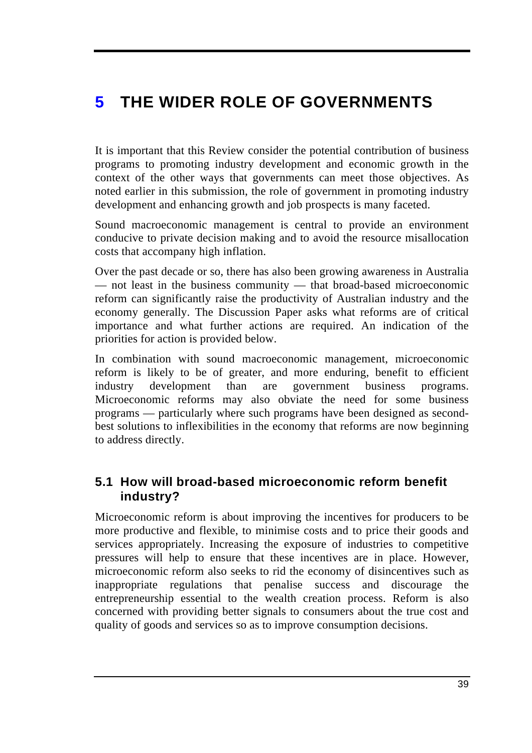## **5 THE WIDER ROLE OF GOVERNMENTS**

It is important that this Review consider the potential contribution of business programs to promoting industry development and economic growth in the context of the other ways that governments can meet those objectives. As noted earlier in this submission, the role of government in promoting industry development and enhancing growth and job prospects is many faceted.

Sound macroeconomic management is central to provide an environment conducive to private decision making and to avoid the resource misallocation costs that accompany high inflation.

Over the past decade or so, there has also been growing awareness in Australia — not least in the business community — that broad-based microeconomic reform can significantly raise the productivity of Australian industry and the economy generally. The Discussion Paper asks what reforms are of critical importance and what further actions are required. An indication of the priorities for action is provided below.

In combination with sound macroeconomic management, microeconomic reform is likely to be of greater, and more enduring, benefit to efficient industry development than are government business programs. Microeconomic reforms may also obviate the need for some business programs — particularly where such programs have been designed as secondbest solutions to inflexibilities in the economy that reforms are now beginning to address directly.

## **5.1 How will broad-based microeconomic reform benefit industry?**

Microeconomic reform is about improving the incentives for producers to be more productive and flexible, to minimise costs and to price their goods and services appropriately. Increasing the exposure of industries to competitive pressures will help to ensure that these incentives are in place. However, microeconomic reform also seeks to rid the economy of disincentives such as inappropriate regulations that penalise success and discourage the entrepreneurship essential to the wealth creation process. Reform is also concerned with providing better signals to consumers about the true cost and quality of goods and services so as to improve consumption decisions.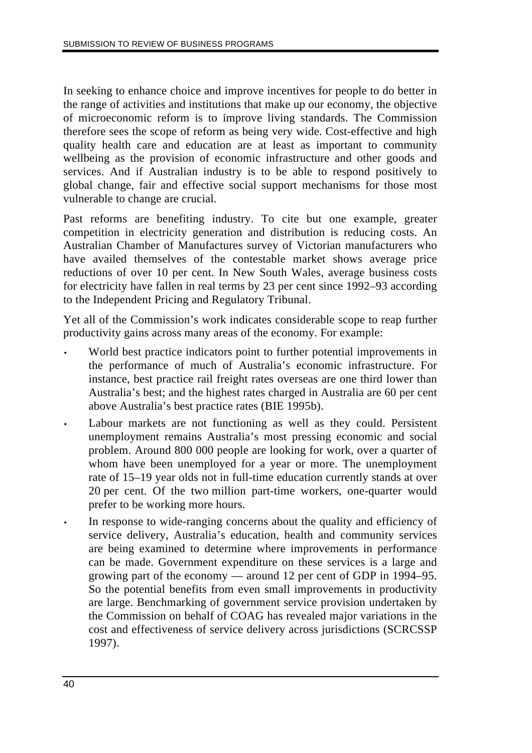In seeking to enhance choice and improve incentives for people to do better in the range of activities and institutions that make up our economy, the objective of microeconomic reform is to improve living standards. The Commission therefore sees the scope of reform as being very wide. Cost-effective and high quality health care and education are at least as important to community wellbeing as the provision of economic infrastructure and other goods and services. And if Australian industry is to be able to respond positively to global change, fair and effective social support mechanisms for those most vulnerable to change are crucial.

Past reforms are benefiting industry. To cite but one example, greater competition in electricity generation and distribution is reducing costs. An Australian Chamber of Manufactures survey of Victorian manufacturers who have availed themselves of the contestable market shows average price reductions of over 10 per cent. In New South Wales, average business costs for electricity have fallen in real terms by 23 per cent since 1992–93 according to the Independent Pricing and Regulatory Tribunal.

Yet all of the Commission's work indicates considerable scope to reap further productivity gains across many areas of the economy. For example:

- World best practice indicators point to further potential improvements in the performance of much of Australia's economic infrastructure. For instance, best practice rail freight rates overseas are one third lower than Australia's best; and the highest rates charged in Australia are 60 per cent above Australia's best practice rates (BIE 1995b).
- Labour markets are not functioning as well as they could. Persistent unemployment remains Australia's most pressing economic and social problem. Around 800 000 people are looking for work, over a quarter of whom have been unemployed for a year or more. The unemployment rate of 15–19 year olds not in full-time education currently stands at over 20 per cent. Of the two million part-time workers, one-quarter would prefer to be working more hours.
- In response to wide-ranging concerns about the quality and efficiency of service delivery, Australia's education, health and community services are being examined to determine where improvements in performance can be made. Government expenditure on these services is a large and growing part of the economy — around 12 per cent of GDP in 1994–95. So the potential benefits from even small improvements in productivity are large. Benchmarking of government service provision undertaken by the Commission on behalf of COAG has revealed major variations in the cost and effectiveness of service delivery across jurisdictions (SCRCSSP 1997).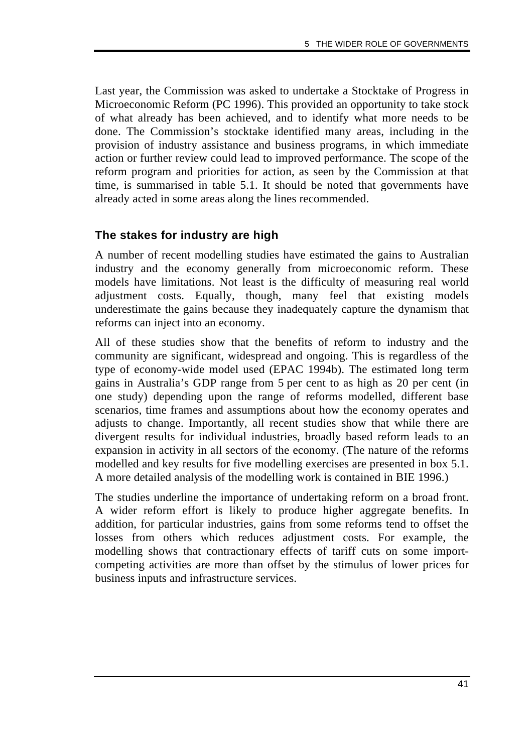Last year, the Commission was asked to undertake a Stocktake of Progress in Microeconomic Reform (PC 1996). This provided an opportunity to take stock of what already has been achieved, and to identify what more needs to be done. The Commission's stocktake identified many areas, including in the provision of industry assistance and business programs, in which immediate action or further review could lead to improved performance. The scope of the reform program and priorities for action, as seen by the Commission at that time, is summarised in table 5.1. It should be noted that governments have already acted in some areas along the lines recommended.

#### **The stakes for industry are high**

A number of recent modelling studies have estimated the gains to Australian industry and the economy generally from microeconomic reform. These models have limitations. Not least is the difficulty of measuring real world adjustment costs. Equally, though, many feel that existing models underestimate the gains because they inadequately capture the dynamism that reforms can inject into an economy.

All of these studies show that the benefits of reform to industry and the community are significant, widespread and ongoing. This is regardless of the type of economy-wide model used (EPAC 1994b). The estimated long term gains in Australia's GDP range from 5 per cent to as high as 20 per cent (in one study) depending upon the range of reforms modelled, different base scenarios, time frames and assumptions about how the economy operates and adjusts to change. Importantly, all recent studies show that while there are divergent results for individual industries, broadly based reform leads to an expansion in activity in all sectors of the economy. (The nature of the reforms modelled and key results for five modelling exercises are presented in box 5.1. A more detailed analysis of the modelling work is contained in BIE 1996.)

The studies underline the importance of undertaking reform on a broad front. A wider reform effort is likely to produce higher aggregate benefits. In addition, for particular industries, gains from some reforms tend to offset the losses from others which reduces adjustment costs. For example, the modelling shows that contractionary effects of tariff cuts on some importcompeting activities are more than offset by the stimulus of lower prices for business inputs and infrastructure services.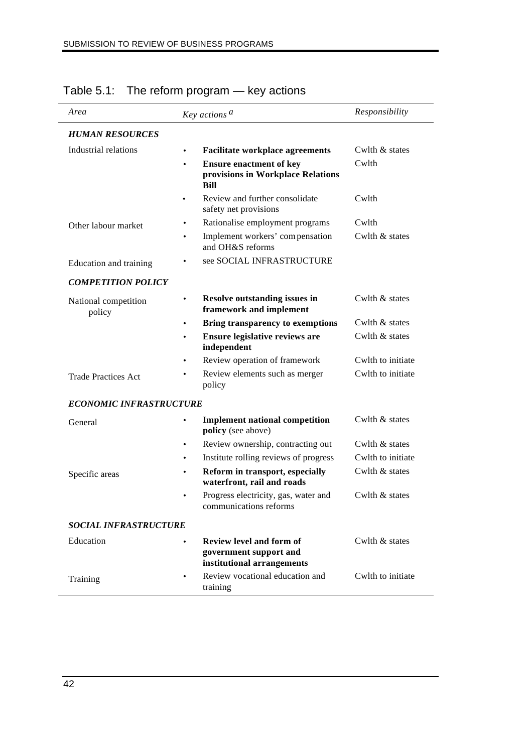| Area                           |           | Key actions <sup>a</sup>                                                                | Responsibility    |  |
|--------------------------------|-----------|-----------------------------------------------------------------------------------------|-------------------|--|
| <b>HUMAN RESOURCES</b>         |           |                                                                                         |                   |  |
| Industrial relations           | $\bullet$ | <b>Facilitate workplace agreements</b>                                                  | Cwlth & states    |  |
|                                | $\bullet$ | <b>Ensure enactment of key</b><br>provisions in Workplace Relations<br><b>Bill</b>      | Cwlth             |  |
|                                | $\bullet$ | Review and further consolidate<br>safety net provisions                                 | Cwlth             |  |
| Other labour market            |           | Rationalise employment programs                                                         | Cwlth             |  |
|                                |           | Implement workers' compensation<br>and OH&S reforms                                     | Cwlth & states    |  |
| Education and training         |           | see SOCIAL INFRASTRUCTURE                                                               |                   |  |
| <b>COMPETITION POLICY</b>      |           |                                                                                         |                   |  |
| National competition<br>policy | ٠         | <b>Resolve outstanding issues in</b><br>framework and implement                         | Cwlth & states    |  |
|                                |           | Bring transparency to exemptions                                                        | Cwlth & states    |  |
|                                |           | Ensure legislative reviews are<br>independent                                           | Cwlth & states    |  |
|                                |           | Review operation of framework                                                           | Cwlth to initiate |  |
| <b>Trade Practices Act</b>     |           | Review elements such as merger<br>policy                                                | Cwlth to initiate |  |
| <b>ECONOMIC INFRASTRUCTURE</b> |           |                                                                                         |                   |  |
| General                        | $\bullet$ | <b>Implement national competition</b><br>policy (see above)                             | Cwlth & states    |  |
|                                | $\bullet$ | Review ownership, contracting out                                                       | Cwlth & states    |  |
|                                |           | Institute rolling reviews of progress                                                   | Cwlth to initiate |  |
| Specific areas                 | $\bullet$ | Reform in transport, especially<br>waterfront, rail and roads                           | Cwlth & states    |  |
|                                | $\bullet$ | Progress electricity, gas, water and<br>communications reforms                          | Cwlth & states    |  |
| <b>SOCIAL INFRASTRUCTURE</b>   |           |                                                                                         |                   |  |
| Education                      | $\bullet$ | <b>Review level and form of</b><br>government support and<br>institutional arrangements | Cwlth & states    |  |
| Training                       |           | Review vocational education and<br>training                                             | Cwlth to initiate |  |

## Table 5.1: The reform program — key actions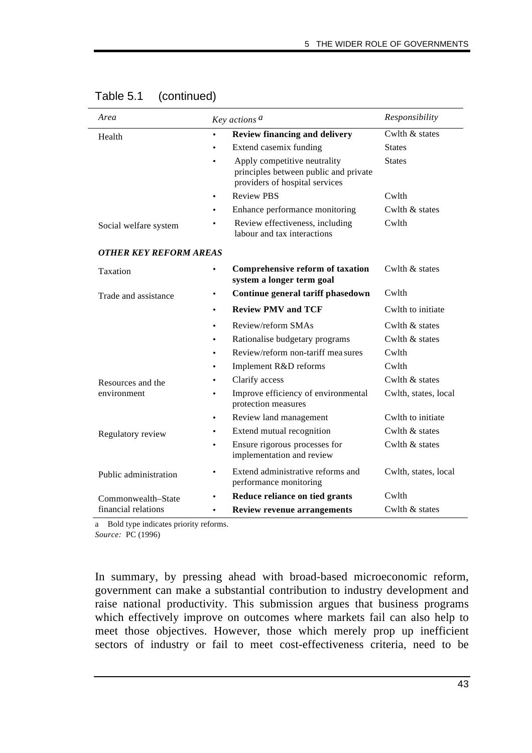| Area                          |           | Key actions <sup>a</sup>                                                                                | Responsibility       |
|-------------------------------|-----------|---------------------------------------------------------------------------------------------------------|----------------------|
| Health                        | $\bullet$ | <b>Review financing and delivery</b>                                                                    | Cwlth & states       |
|                               |           | Extend casemix funding                                                                                  | <b>States</b>        |
|                               | ٠         | Apply competitive neutrality<br>principles between public and private<br>providers of hospital services | <b>States</b>        |
|                               |           | <b>Review PBS</b>                                                                                       | Cwlth                |
|                               |           | Enhance performance monitoring                                                                          | Cwlth & states       |
| Social welfare system         |           | Review effectiveness, including<br>labour and tax interactions                                          | Cwlth                |
| <b>OTHER KEY REFORM AREAS</b> |           |                                                                                                         |                      |
| Taxation                      | $\bullet$ | Comprehensive reform of taxation<br>system a longer term goal                                           | Cwlth $\&$ states    |
| Trade and assistance          | ٠         | Continue general tariff phasedown                                                                       | Cwlth                |
|                               | $\bullet$ | <b>Review PMV and TCF</b>                                                                               | Cwlth to initiate    |
|                               |           | Review/reform SMAs                                                                                      | Cwlth $\&$ states    |
|                               |           | Rationalise budgetary programs                                                                          | Cwlth & states       |
|                               |           | Review/reform non-tariff mea sures                                                                      | Cwlth                |
|                               |           | Implement R&D reforms                                                                                   | Cwlth                |
| Resources and the             |           | Clarify access                                                                                          | Cwlth $\&$ states    |
| environment                   |           | Improve efficiency of environmental<br>protection measures                                              | Cwlth, states, local |
|                               |           | Review land management                                                                                  | Cwlth to initiate    |
| Regulatory review             |           | Extend mutual recognition                                                                               | Cwlth & states       |
|                               |           | Ensure rigorous processes for<br>implementation and review                                              | Cwlth & states       |
| Public administration         | $\bullet$ | Extend administrative reforms and<br>performance monitoring                                             | Cwlth, states, local |
| Commonwealth-State            |           | Reduce reliance on tied grants                                                                          | Cwlth                |
| financial relations           |           | <b>Review revenue arrangements</b>                                                                      | Cwlth & states       |

| Table 5.1 | (continued) |
|-----------|-------------|
|-----------|-------------|

a Bold type indicates priority reforms. *Source:* PC (1996)

In summary, by pressing ahead with broad-based microeconomic reform, government can make a substantial contribution to industry development and raise national productivity. This submission argues that business programs which effectively improve on outcomes where markets fail can also help to meet those objectives. However, those which merely prop up inefficient sectors of industry or fail to meet cost-effectiveness criteria, need to be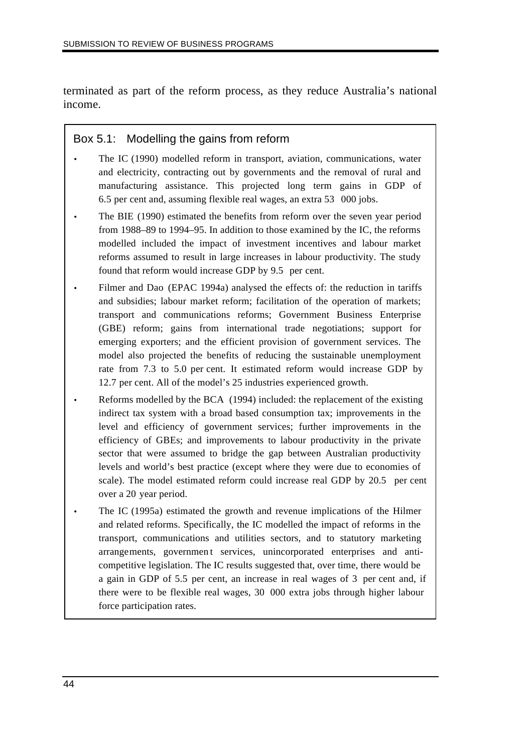terminated as part of the reform process, as they reduce Australia's national income.

#### Box 5.1: Modelling the gains from reform

- The IC (1990) modelled reform in transport, aviation, communications, water and electricity, contracting out by governments and the removal of rural and manufacturing assistance. This projected long term gains in GDP of 6.5 per cent and, assuming flexible real wages, an extra 53 000 jobs.
- The BIE (1990) estimated the benefits from reform over the seven year period from 1988–89 to 1994–95. In addition to those examined by the IC, the reforms modelled included the impact of investment incentives and labour market reforms assumed to result in large increases in labour productivity. The study found that reform would increase GDP by 9.5 per cent.
- Filmer and Dao (EPAC 1994a) analysed the effects of: the reduction in tariffs and subsidies; labour market reform; facilitation of the operation of markets; transport and communications reforms; Government Business Enterprise (GBE) reform; gains from international trade negotiations; support for emerging exporters; and the efficient provision of government services. The model also projected the benefits of reducing the sustainable unemployment rate from 7.3 to 5.0 per cent. It estimated reform would increase GDP by 12.7 per cent. All of the model's 25 industries experienced growth.
- Reforms modelled by the BCA (1994) included: the replacement of the existing indirect tax system with a broad based consumption tax; improvements in the level and efficiency of government services; further improvements in the efficiency of GBEs; and improvements to labour productivity in the private sector that were assumed to bridge the gap between Australian productivity levels and world's best practice (except where they were due to economies of scale). The model estimated reform could increase real GDP by 20.5 per cent over a 20 year period.
- The IC (1995a) estimated the growth and revenue implications of the Hilmer and related reforms. Specifically, the IC modelled the impact of reforms in the transport, communications and utilities sectors, and to statutory marketing arrangements, government services, unincorporated enterprises and anticompetitive legislation. The IC results suggested that, over time, there would be a gain in GDP of 5.5 per cent, an increase in real wages of 3 per cent and, if there were to be flexible real wages, 30 000 extra jobs through higher labour force participation rates.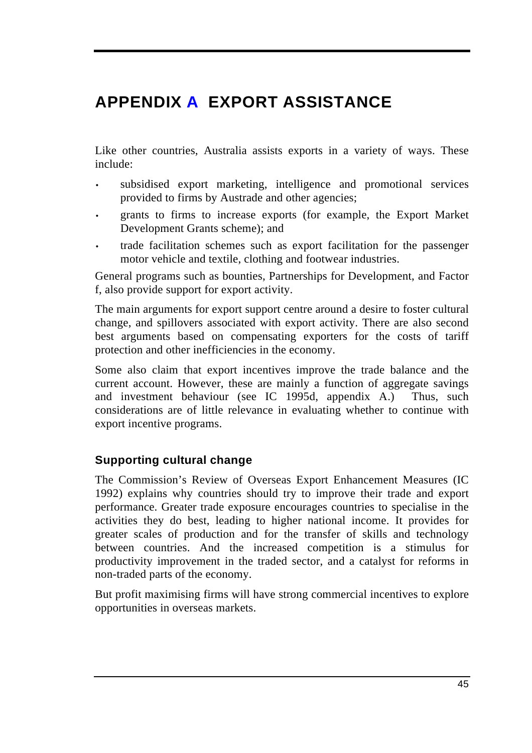# **APPENDIX A EXPORT ASSISTANCE**

Like other countries, Australia assists exports in a variety of ways. These include:

- subsidised export marketing, intelligence and promotional services provided to firms by Austrade and other agencies;
- grants to firms to increase exports (for example, the Export Market Development Grants scheme); and
- trade facilitation schemes such as export facilitation for the passenger motor vehicle and textile, clothing and footwear industries.

General programs such as bounties, Partnerships for Development, and Factor f, also provide support for export activity.

The main arguments for export support centre around a desire to foster cultural change, and spillovers associated with export activity. There are also second best arguments based on compensating exporters for the costs of tariff protection and other inefficiencies in the economy.

Some also claim that export incentives improve the trade balance and the current account. However, these are mainly a function of aggregate savings and investment behaviour (see IC 1995d, appendix A.) Thus, such considerations are of little relevance in evaluating whether to continue with export incentive programs.

## **Supporting cultural change**

The Commission's Review of Overseas Export Enhancement Measures (IC 1992) explains why countries should try to improve their trade and export performance. Greater trade exposure encourages countries to specialise in the activities they do best, leading to higher national income. It provides for greater scales of production and for the transfer of skills and technology between countries. And the increased competition is a stimulus for productivity improvement in the traded sector, and a catalyst for reforms in non-traded parts of the economy.

But profit maximising firms will have strong commercial incentives to explore opportunities in overseas markets.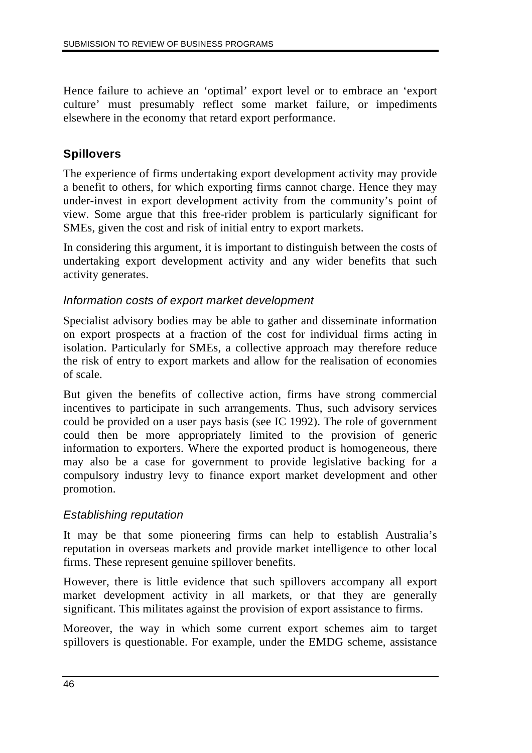Hence failure to achieve an 'optimal' export level or to embrace an 'export culture' must presumably reflect some market failure, or impediments elsewhere in the economy that retard export performance.

## **Spillovers**

The experience of firms undertaking export development activity may provide a benefit to others, for which exporting firms cannot charge. Hence they may under-invest in export development activity from the community's point of view. Some argue that this free-rider problem is particularly significant for SMEs, given the cost and risk of initial entry to export markets.

In considering this argument, it is important to distinguish between the costs of undertaking export development activity and any wider benefits that such activity generates.

## *Information costs of export market development*

Specialist advisory bodies may be able to gather and disseminate information on export prospects at a fraction of the cost for individual firms acting in isolation. Particularly for SMEs, a collective approach may therefore reduce the risk of entry to export markets and allow for the realisation of economies of scale.

But given the benefits of collective action, firms have strong commercial incentives to participate in such arrangements. Thus, such advisory services could be provided on a user pays basis (see IC 1992). The role of government could then be more appropriately limited to the provision of generic information to exporters. Where the exported product is homogeneous, there may also be a case for government to provide legislative backing for a compulsory industry levy to finance export market development and other promotion.

#### *Establishing reputation*

It may be that some pioneering firms can help to establish Australia's reputation in overseas markets and provide market intelligence to other local firms. These represent genuine spillover benefits.

However, there is little evidence that such spillovers accompany all export market development activity in all markets, or that they are generally significant. This militates against the provision of export assistance to firms.

Moreover, the way in which some current export schemes aim to target spillovers is questionable. For example, under the EMDG scheme, assistance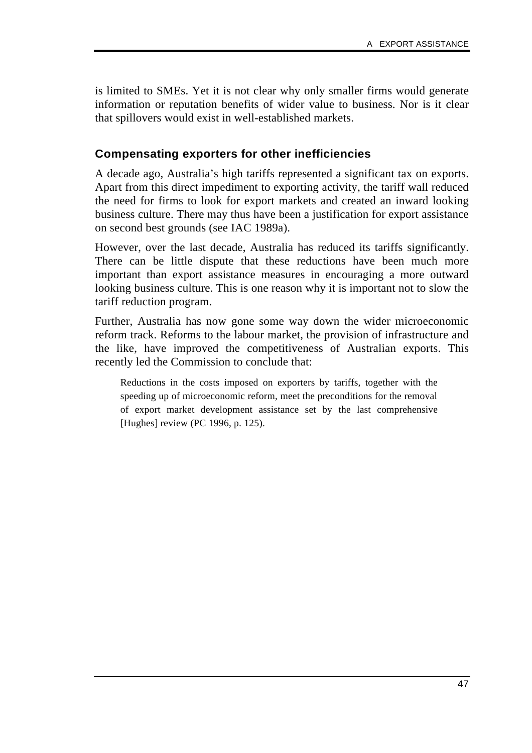is limited to SMEs. Yet it is not clear why only smaller firms would generate information or reputation benefits of wider value to business. Nor is it clear that spillovers would exist in well-established markets.

#### **Compensating exporters for other inefficiencies**

A decade ago, Australia's high tariffs represented a significant tax on exports. Apart from this direct impediment to exporting activity, the tariff wall reduced the need for firms to look for export markets and created an inward looking business culture. There may thus have been a justification for export assistance on second best grounds (see IAC 1989a).

However, over the last decade, Australia has reduced its tariffs significantly. There can be little dispute that these reductions have been much more important than export assistance measures in encouraging a more outward looking business culture. This is one reason why it is important not to slow the tariff reduction program.

Further, Australia has now gone some way down the wider microeconomic reform track. Reforms to the labour market, the provision of infrastructure and the like, have improved the competitiveness of Australian exports. This recently led the Commission to conclude that:

Reductions in the costs imposed on exporters by tariffs, together with the speeding up of microeconomic reform, meet the preconditions for the removal of export market development assistance set by the last comprehensive [Hughes] review (PC 1996, p. 125).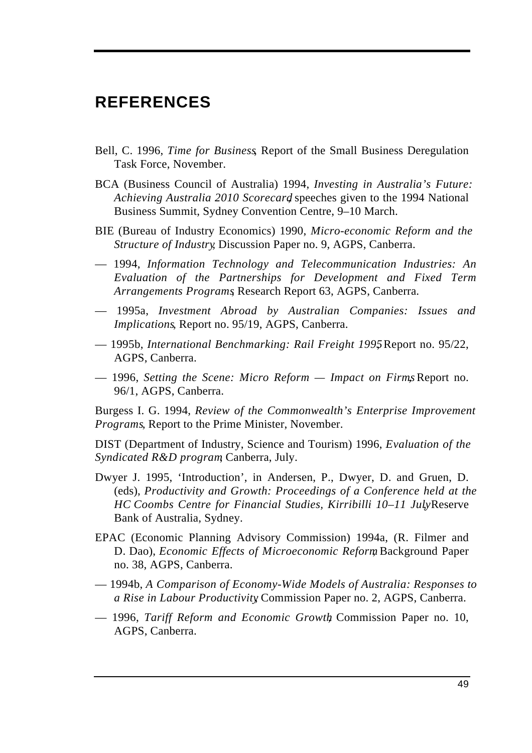## **REFERENCES**

- Bell, C. 1996, *Time for Business*, Report of the Small Business Deregulation Task Force, November.
- BCA (Business Council of Australia) 1994, *Investing in Australia's Future: Achieving Australia 2010 Scorecard*, speeches given to the 1994 National Business Summit, Sydney Convention Centre, 9–10 March.
- BIE (Bureau of Industry Economics) 1990, *Micro-economic Reform and the Structure of Industry*, Discussion Paper no. 9, AGPS, Canberra.
- 1994, *Information Technology and Telecommunication Industries: An Evaluation of the Partnerships for Development and Fixed Term Arrangements Programs*, Research Report 63, AGPS, Canberra.
- 1995a, *Investment Abroad by Australian Companies: Issues and Implications*, Report no. 95/19, AGPS, Canberra.
- 1995b, *International Benchmarking: Rail Freight 1995*, Report no. 95/22, AGPS, Canberra.
- 1996, *Setting the Scene: Micro Reform Impact on Firms*, Report no. 96/1, AGPS, Canberra.

Burgess I. G. 1994, *Review of the Commonwealth's Enterprise Improvement Programs*, Report to the Prime Minister, November.

DIST (Department of Industry, Science and Tourism) 1996, *Evaluation of the Syndicated R&D program*, Canberra, July.

- Dwyer J. 1995, 'Introduction', in Andersen, P., Dwyer, D. and Gruen, D. (eds), *Productivity and Growth: Proceedings of a Conference held at the HC Coombs Centre for Financial Studies, Kirribilli 10–11 July*, Reserve Bank of Australia, Sydney.
- EPAC (Economic Planning Advisory Commission) 1994a, (R. Filmer and D. Dao), *Economic Effects of Microeconomic Reform*, Background Paper no. 38, AGPS, Canberra.
- 1994b, *A Comparison of Economy-Wide Models of Australia: Responses to a Rise in Labour Productivity*, Commission Paper no. 2, AGPS, Canberra.
- 1996, *Tariff Reform and Economic Growth*, Commission Paper no. 10, AGPS, Canberra.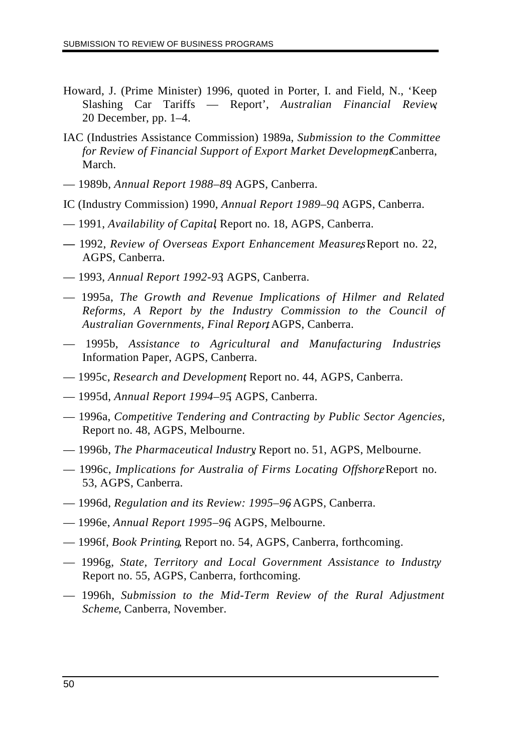- Howard, J. (Prime Minister) 1996, quoted in Porter, I. and Field, N., 'Keep Slashing Car Tariffs — Report', *Australian Financial Review*, 20 December, pp. 1–4.
- IAC (Industries Assistance Commission) 1989a, *Submission to the Committee for Review of Financial Support of Export Market Developmen*Canberra, March.
- 1989b, *Annual Report 1988–89*, AGPS, Canberra.
- IC (Industry Commission) 1990, *Annual Report 1989–90*, AGPS, Canberra.
- 1991, *Availability of Capital*, Report no. 18, AGPS, Canberra.
- 1992, *Review of Overseas Export Enhancement Measures*, Report no. 22, AGPS, Canberra.
- 1993, *Annual Report 1992-93*, AGPS, Canberra.
- 1995a, *The Growth and Revenue Implications of Hilmer and Related Reforms, A Report by the Industry Commission to the Council of Australian Governments, Final Report*, AGPS, Canberra.
- 1995b, *Assistance to Agricultural and Manufacturing Industries*, Information Paper, AGPS, Canberra.
- 1995c, *Research and Development*, Report no. 44, AGPS, Canberra.
- 1995d, *Annual Report 1994–95*, AGPS, Canberra.
- 1996a, *Competitive Tendering and Contracting by Public Sector Agencies,* Report no. 48, AGPS, Melbourne.
- 1996b, *The Pharmaceutical Industry*, Report no. 51, AGPS, Melbourne.
- $-$  1996c, *Implications for Australia of Firms Locating Offshore* Report no. 53, AGPS, Canberra.
- 1996d, *Regulation and its Review: 1995–96*, AGPS, Canberra.
- 1996e, *Annual Report 1995–96*, AGPS, Melbourne.
- 1996f, *Book Printing*, Report no. 54, AGPS, Canberra, forthcoming.
- 1996g, *State, Territory and Local Government Assistance to Industry*, Report no. 55, AGPS, Canberra, forthcoming.
- 1996h, *Submission to the Mid-Term Review of the Rural Adjustment Scheme*, Canberra, November.